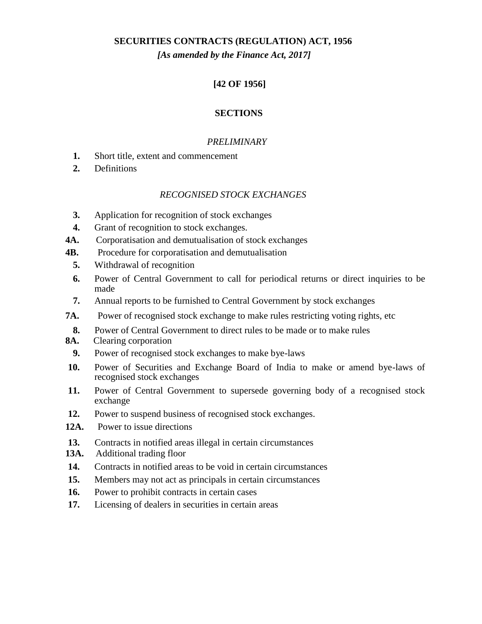# **SECURITIES CONTRACTS (REGULATION) ACT, 1956** *[As amended by the Finance Act, 2017]*

## **[42 OF 1956]**

## **SECTIONS**

## *PRELIMINARY*

- **1.** Short title, extent and commencement
- **2.** Definitions

## *RECOGNISED STOCK EXCHANGES*

- **3.** Application for recognition of stock exchanges
- **4.** Grant of recognition to stock exchanges.
- **4A.** Corporatisation and demutualisation of stock exchanges
- **4B.** Procedure for corporatisation and demutualisation
	- **5.** Withdrawal of recognition
	- **6.** Power of Central Government to call for periodical returns or direct inquiries to be made
	- **7.** Annual reports to be furnished to Central Government by stock exchanges
- **7A.** Power of recognised stock exchange to make rules restricting voting rights, etc
- **8.** Power of Central Government to direct rules to be made or to make rules
- **8A.** Clearing corporation
	- **9.** Power of recognised stock exchanges to make bye-laws
- **10.** Power of Securities and Exchange Board of India to make or amend bye-laws of recognised stock exchanges
- **11.** Power of Central Government to supersede governing body of a recognised stock exchange
- **12.** Power to suspend business of recognised stock exchanges.
- **12A.** Power to issue directions
- **13.** Contracts in notified areas illegal in certain circumstances
- **13A.** Additional trading floor
- **14.** Contracts in notified areas to be void in certain circumstances
- **15.** Members may not act as principals in certain circumstances
- **16.** Power to prohibit contracts in certain cases
- **17.** Licensing of dealers in securities in certain areas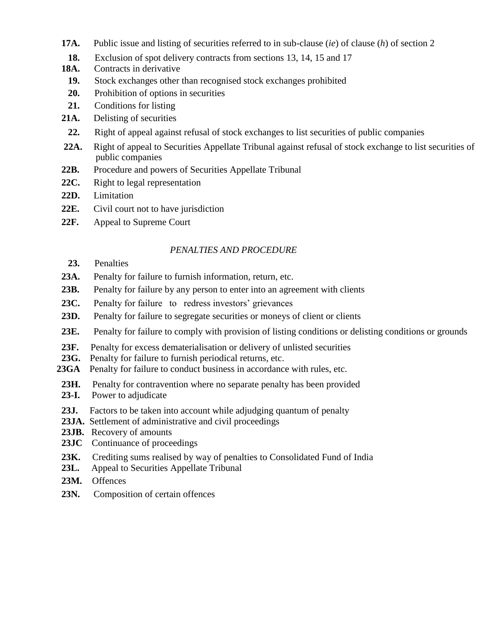- **17A.** Public issue and listing of securities referred to in sub-clause (*ie*) of clause (*h*) of section 2
- **18.** Exclusion of spot delivery contracts from sections 13, 14, 15 and 17
- 18A. Contracts in derivative
	- **19.** Stock exchanges other than recognised stock exchanges prohibited
	- **20.** Prohibition of options in securities
	- **21.** Conditions for listing
- **21A.** Delisting of securities
- **22.** Right of appeal against refusal of stock exchanges to list securities of public companies
- **22A.** Right of appeal to Securities Appellate Tribunal against refusal of stock exchange to list securities of public companies
- **22B.** Procedure and powers of Securities Appellate Tribunal
- **22C.** Right to legal representation
- **22D.** Limitation
- **22E.** Civil court not to have jurisdiction
- **22F.** Appeal to Supreme Court

#### *PENALTIES AND PROCEDURE*

- **23.** Penalties
- **23A.** Penalty for failure to furnish information, return, etc.
- **23B.** Penalty for failure by any person to enter into an agreement with clients
- **23C.** Penalty for failure to redress investors' grievances
- 23D. Penalty for failure to segregate securities or moneys of client or clients
- **23E.** Penalty for failure to comply with provision of listing conditions or delisting conditions or grounds
- 23F. Penalty for excess dematerialisation or delivery of unlisted securities
- **23G.** Penalty for failure to furnish periodical returns, etc.
- **23GA** Penalty for failure to conduct business in accordance with rules, etc.
- 23H. Penalty for contravention where no separate penalty has been provided
- **23-I.** Power to adjudicate
- 23J. Factors to be taken into account while adjudging quantum of penalty
- **23JA.** Settlement of administrative and civil proceedings
- **23JB.** Recovery of amounts
- **23JC** Continuance of proceedings
- 23K. Crediting sums realised by way of penalties to Consolidated Fund of India
- 23L. Appeal to Securities Appellate Tribunal
- **23M.** Offences
- 23N. Composition of certain offences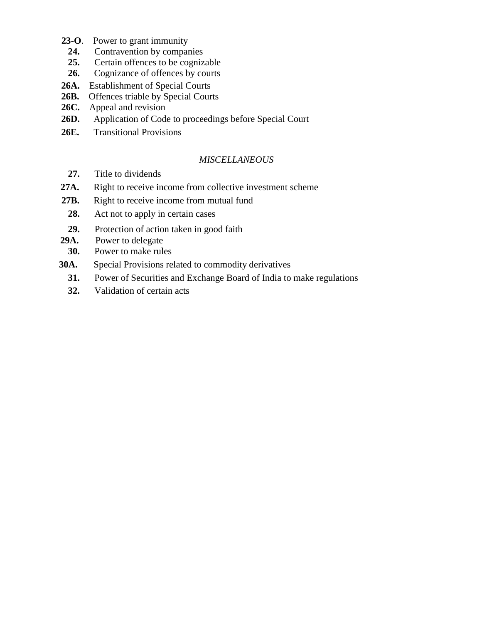- **23-O**. Power to grant immunity
	- **24.** Contravention by companies
	- **25.** Certain offences to be cognizable
	- **26.** Cognizance of offences by courts
- **26A.** Establishment of Special Courts
- **26B.** Offences triable by Special Courts
- **26C.** Appeal and revision
- **26D.** Application of Code to proceedings before Special Court
- **26E.** Transitional Provisions

## *MISCELLANEOUS*

- **27.** Title to dividends
- **27A.** Right to receive income from collective investment scheme
- **27B.** Right to receive income from mutual fund
- **28.** Act not to apply in certain cases
- **29.** Protection of action taken in good faith
- **29A.** Power to delegate
	- **30.** Power to make rules
- **30A.** Special Provisions related to commodity derivatives
	- **31.** Power of Securities and Exchange Board of India to make regulations
	- **32.** Validation of certain acts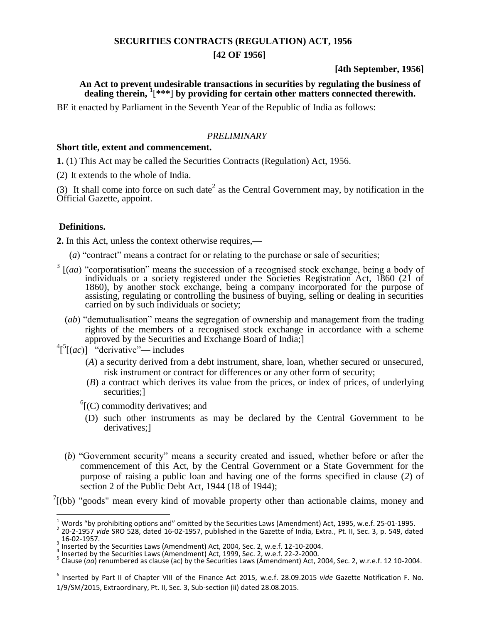#### **SECURITIES CONTRACTS (REGULATION) ACT, 1956**

#### **[42 OF 1956]**

#### **[4th September, 1956]**

#### **An Act to prevent undesirable transactions in securities by regulating the business of dealing therein, <sup>1</sup>** [**\*\*\***] **by providing for certain other matters connected therewith.**

BE it enacted by Parliament in the Seventh Year of the Republic of India as follows:

#### *PRELIMINARY*

#### **Short title, extent and commencement.**

**1.** (1) This Act may be called the Securities Contracts (Regulation) Act, 1956.

(2) It extends to the whole of India.

(3) It shall come into force on such date<sup>2</sup> as the Central Government may, by notification in the Official Gazette, appoint.

#### **Definitions.**

**.** 

**2.** In this Act, unless the context otherwise requires,—

- (*a*) "contract" means a contract for or relating to the purchase or sale of securities;
- <sup>3</sup> [(*aa*) "corporatisation" means the succession of a recognised stock exchange, being a body of individuals or a society registered under the Societies Registration Act, 1860 (21 of 1860), by another stock exchange, being a company incorporated for the purpose of assisting, regulating or controlling the business of buying, selling or dealing in securities carried on by such individuals or society;
	- (*ab*) "demutualisation" means the segregation of ownership and management from the trading rights of the members of a recognised stock exchange in accordance with a scheme approved by the Securities and Exchange Board of India;]
- $\int_{0}^{4} [(ac)]$  "derivative"— includes
	- (*A*) a security derived from a debt instrument, share, loan, whether secured or unsecured, risk instrument or contract for differences or any other form of security;
	- (*B*) a contract which derives its value from the prices, or index of prices, of underlying securities;]
	- ${}^{6}$ [(C) commodity derivatives; and
	- (D) such other instruments as may be declared by the Central Government to be derivatives;]
	- (*b*) "Government security" means a security created and issued, whether before or after the commencement of this Act, by the Central Government or a State Government for the purpose of raising a public loan and having one of the forms specified in clause (*2*) of section 2 of the Public Debt Act, 1944 (18 of 1944);

 $7$ [(bb) "goods" mean every kind of movable property other than actionable claims, money and

 $^1$  Words "by prohibiting options and" omitted by the Securities Laws (Amendment) Act, 1995, w.e.f. 25-01-1995.<br><sup>2</sup> 20-2-1957 *vide* SRO 528, dated 16-02-1957, published in the Gazette of India, Extra., Pt. II, Sec. 3, p 3 16-02-1957.<br><sup>3</sup> Inserted by the Securities Laws (Amendment) Act, 2004, Sec. 2, w.e.f. 12-10-2004.<br><sup>4</sup> Inserted by the Securities Laws (Amendment) Act, 1999, Sec. 2, w.e.f. 22-2-2000.<br><sup>5</sup> Clause (*aa*) renumbered as claus

<sup>6</sup> Inserted by Part II of Chapter VIII of the Finance Act 2015, w.e.f. 28.09.2015 *vide* Gazette Notification F. No. 1/9/SM/2015, Extraordinary, Pt. II, Sec. 3, Sub-section (ii) dated 28.08.2015.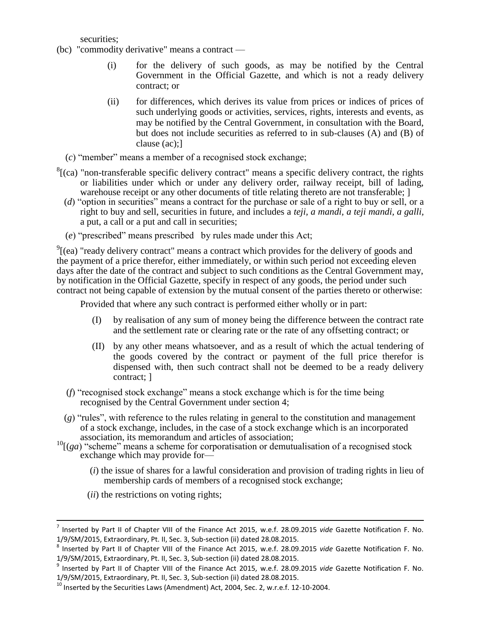securities;

- (bc) "commodity derivative" means a contract
	- (i) for the delivery of such goods, as may be notified by the Central Government in the Official Gazette, and which is not a ready delivery contract; or
	- (ii) for differences, which derives its value from prices or indices of prices of such underlying goods or activities, services, rights, interests and events, as may be notified by the Central Government, in consultation with the Board, but does not include securities as referred to in sub-clauses (A) and (B) of clause (ac);]
	- (*c*) "member" means a member of a recognised stock exchange;
- ${}^{8}$ [(ca) "non-transferable specific delivery contract" means a specific delivery contract, the rights or liabilities under which or under any delivery order, railway receipt, bill of lading, warehouse receipt or any other documents of title relating thereto are not transferable;  $\vert$ 
	- (*d*) "option in securities" means a contract for the purchase or sale of a right to buy or sell, or a right to buy and sell, securities in future, and includes a *teji, a mandi, a teji mandi, a galli,*  a put, a call or a put and call in securities;
	- (*e*) "prescribed" means prescribed by rules made under this Act;

 $\int$ <sup>9</sup>[(ea) "ready delivery contract" means a contract which provides for the delivery of goods and the payment of a price therefor, either immediately, or within such period not exceeding eleven days after the date of the contract and subject to such conditions as the Central Government may, by notification in the Official Gazette, specify in respect of any goods, the period under such contract not being capable of extension by the mutual consent of the parties thereto or otherwise:

Provided that where any such contract is performed either wholly or in part:

- (I) by realisation of any sum of money being the difference between the contract rate and the settlement rate or clearing rate or the rate of any offsetting contract; or
- (II) by any other means whatsoever, and as a result of which the actual tendering of the goods covered by the contract or payment of the full price therefor is dispensed with, then such contract shall not be deemed to be a ready delivery contract; ]
- (*f*) "recognised stock exchange" means a stock exchange which is for the time being recognised by the Central Government under section 4;
- (*g*) "rules", with reference to the rules relating in general to the constitution and management of a stock exchange, includes, in the case of a stock exchange which is an incorporated association, its memorandum and articles of association;
- $10$ [(*ga*) "scheme" means a scheme for corporatisation or demutualisation of a recognised stock exchange which may provide for—
	- (*i*) the issue of shares for a lawful consideration and provision of trading rights in lieu of membership cards of members of a recognised stock exchange;
	- (*ii*) the restrictions on voting rights;

-

<sup>7</sup> Inserted by Part II of Chapter VIII of the Finance Act 2015, w.e.f. 28.09.2015 *vide* Gazette Notification F. No. 1/9/SM/2015, Extraordinary, Pt. II, Sec. 3, Sub-section (ii) dated 28.08.2015.

<sup>8</sup> Inserted by Part II of Chapter VIII of the Finance Act 2015, w.e.f. 28.09.2015 *vide* Gazette Notification F. No. 1/9/SM/2015, Extraordinary, Pt. II, Sec. 3, Sub-section (ii) dated 28.08.2015.

<sup>9</sup> Inserted by Part II of Chapter VIII of the Finance Act 2015, w.e.f. 28.09.2015 *vide* Gazette Notification F. No. 1/9/SM/2015, Extraordinary, Pt. II, Sec. 3, Sub-section (ii) dated 28.08.2015.

 $10$  Inserted by the Securities Laws (Amendment) Act, 2004, Sec. 2, w.r.e.f. 12-10-2004.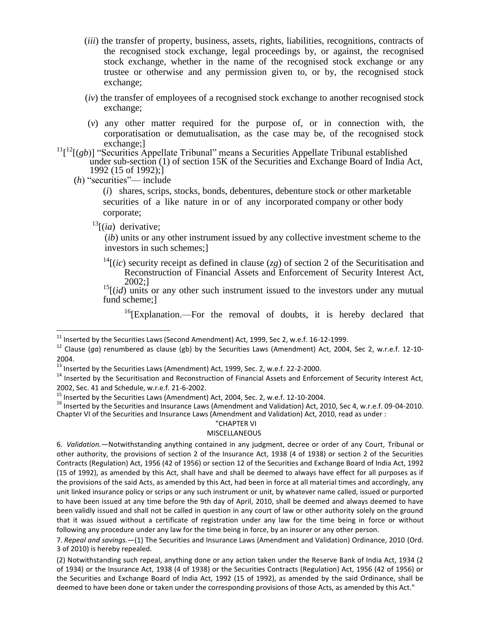- (*iii*) the transfer of property, business, assets, rights, liabilities, recognitions, contracts of the recognised stock exchange, legal proceedings by, or against, the recognised stock exchange, whether in the name of the recognised stock exchange or any trustee or otherwise and any permission given to, or by, the recognised stock exchange;
- (*iv*) the transfer of employees of a recognised stock exchange to another recognised stock exchange;
- (*v*) any other matter required for the purpose of, or in connection with, the corporatisation or demutualisation, as the case may be, of the recognised stock exchange;]
- <sup>11</sup>[<sup>12</sup>[(gb)] "Securities Appellate Tribunal" means a Securities Appellate Tribunal established under sub-section (1) of section 15K of the Securities and Exchange Board of India Act, 1992 (15 of 1992);]

(*h*) "securities"— include

(*i*) shares, scrips, stocks, bonds, debentures, debenture stock or other marketable securities of a like nature in or of any incorporated company or other body corporate;

<sup>13</sup>[(*ia*) derivative;

-

(*ib*) units or any other instrument issued by any collective investment scheme to the investors in such schemes;]

<sup>14</sup>[(*ic*) security receipt as defined in clause (*zg*) of section 2 of the Securitisation and Reconstruction of Financial Assets and Enforcement of Security Interest Act, 2002;]

<sup>15</sup>[(*id*) units or any other such instrument issued to the investors under any mutual fund scheme;]

<sup>16</sup>[Explanation.—For the removal of doubts, it is hereby declared that

#### "CHAPTER VI

#### MISCELLANEOUS

 $^{11}$  Inserted by the Securities Laws (Second Amendment) Act, 1999, Sec 2, w.e.f. 16-12-1999.

<sup>12</sup> Clause (*ga*) renumbered as clause (gb) by the Securities Laws (Amendment) Act, 2004, Sec 2, w.r.e.f. 12-10- 2004.

<sup>&</sup>lt;sup>13</sup> Inserted by the Securities Laws (Amendment) Act, 1999, Sec. 2, w.e.f. 22-2-2000.

<sup>&</sup>lt;sup>14</sup> Inserted by the Securitisation and Reconstruction of Financial Assets and Enforcement of Security Interest Act, 2002, Sec. 41 and Schedule, w.r.e.f. 21-6-2002.

<sup>&</sup>lt;sup>15</sup> Inserted by the Securities Laws (Amendment) Act, 2004, Sec. 2, w.e.f. 12-10-2004.

<sup>16</sup> Inserted by the Securities and Insurance Laws (Amendment and Validation) Act, 2010, Sec 4, w.r.e.f. 09-04-2010. Chapter VI of the Securities and Insurance Laws (Amendment and Validation) Act, 2010, read as under :

<sup>6.</sup> *Validation.*—Notwithstanding anything contained in any judgment, decree or order of any Court, Tribunal or other authority, the provisions of section 2 of the Insurance Act, 1938 (4 of 1938) or section 2 of the Securities Contracts (Regulation) Act, 1956 (42 of 1956) or section 12 of the Securities and Exchange Board of India Act, 1992 (15 of 1992), as amended by this Act, shall have and shall be deemed to always have effect for all purposes as if the provisions of the said Acts, as amended by this Act, had been in force at all material times and accordingly, any unit linked insurance policy or scrips or any such instrument or unit, by whatever name called, issued or purported to have been issued at any time before the 9th day of April, 2010, shall be deemed and always deemed to have been validly issued and shall not be called in question in any court of law or other authority solely on the ground that it was issued without a certificate of registration under any law for the time being in force or without following any procedure under any law for the time being in force, by an insurer or any other person.

<sup>7.</sup> *Repeal and savings.—*(1) The Securities and Insurance Laws (Amendment and Validation) Ordinance, 2010 (Ord. 3 of 2010) is hereby repealed.

<sup>(2)</sup> Notwithstanding such repeal, anything done or any action taken under the Reserve Bank of India Act, 1934 (2 of 1934) or the Insurance Act, 1938 (4 of 1938) or the Securities Contracts (Regulation) Act, 1956 (42 of 1956) or the Securities and Exchange Board of India Act, 1992 (15 of 1992), as amended by the said Ordinance, shall be deemed to have been done or taken under the corresponding provisions of those Acts, as amended by this Act."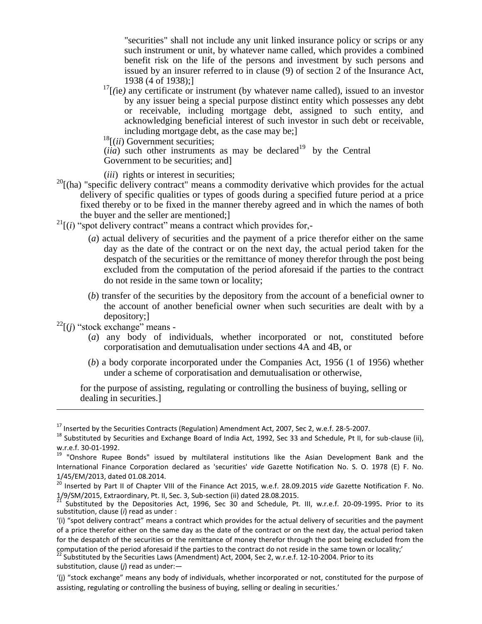"securities" shall not include any unit linked insurance policy or scrips or any such instrument or unit, by whatever name called, which provides a combined benefit risk on the life of the persons and investment by such persons and issued by an insurer referred to in clause (9) of section 2 of the Insurance Act, 1938 (4 of 1938);]

 $17$ <sup>[ $\prime$ ]</sup>(ie) any certificate or instrument (by whatever name called), issued to an investor by any issuer being a special purpose distinct entity which possesses any debt or receivable, including mortgage debt, assigned to such entity, and acknowledging beneficial interest of such investor in such debt or receivable, including mortgage debt, as the case may be;]

<sup>18</sup>[(*ii*) Government securities;

 $(iia)$  such other instruments as may be declared<sup>19</sup> by the Central Government to be securities; and]

- (*iii*) rights or interest in securities;
- $^{20}$ [(ha) "specific delivery contract" means a commodity derivative which provides for the actual delivery of specific qualities or types of goods during a specified future period at a price fixed thereby or to be fixed in the manner thereby agreed and in which the names of both the buyer and the seller are mentioned;]
- $2^{1}$ [(*i*) "spot delivery contract" means a contract which provides for,-
	- (*a*) actual delivery of securities and the payment of a price therefor either on the same day as the date of the contract or on the next day, the actual period taken for the despatch of the securities or the remittance of money therefor through the post being excluded from the computation of the period aforesaid if the parties to the contract do not reside in the same town or locality;
	- (*b*) transfer of the securities by the depository from the account of a beneficial owner to the account of another beneficial owner when such securities are dealt with by a depository;]

 $^{22}$ [(*j*) "stock exchange" means -

-

- (*a*) any body of individuals, whether incorporated or not, constituted before corporatisation and demutualisation under sections 4A and 4B, or
- (*b*) a body corporate incorporated under the Companies Act, 1956 (1 of 1956) whether under a scheme of corporatisation and demutualisation or otherwise,

for the purpose of assisting, regulating or controlling the business of buying, selling or dealing in securities.]

<sup>22</sup> Substituted by the Securities Laws (Amendment) Act, 2004, Sec 2, w.r.e.f. 12-10-2004. Prior to its substitution, clause (*j*) read as under:—

'(j) "stock exchange" means any body of individuals, whether incorporated or not, constituted for the purpose of assisting, regulating or controlling the business of buying, selling or dealing in securities.'

<sup>&</sup>lt;sup>17</sup> Inserted by the Securities Contracts (Regulation) Amendment Act, 2007, Sec 2, w.e.f. 28-5-2007.

<sup>&</sup>lt;sup>18</sup> Substituted by Securities and Exchange Board of India Act, 1992, Sec 33 and Schedule, Pt II, for sub-clause (ii), w.r.e.f. 30-01-1992.

<sup>&</sup>lt;sup>19</sup> "Onshore Rupee Bonds" issued by multilateral institutions like the Asian Development Bank and the International Finance Corporation declared as 'securities' *vide* Gazette Notification No. S. O. 1978 (E) F. No. 1/45/EM/2013, dated 01.08.2014.

<sup>20</sup> Inserted by Part II of Chapter VIII of the Finance Act 2015, w.e.f. 28.09.2015 *vide* Gazette Notification F. No. 1/9/SM/2015, Extraordinary, Pt. II, Sec. 3, Sub-section (ii) dated 28.08.2015.

<sup>21</sup> Substituted by the Depositories Act, 1996, Sec 30 and Schedule, Pt. III, w.r.e.f. 20-09-1995**.** Prior to its substitution, clause (*i*) read as under :

<sup>&#</sup>x27;(i) "spot delivery contract" means a contract which provides for the actual delivery of securities and the payment of a price therefor either on the same day as the date of the contract or on the next day, the actual period taken for the despatch of the securities or the remittance of money therefor through the post being excluded from the computation of the period aforesaid if the parties to the contract do not reside in the same town or locality;'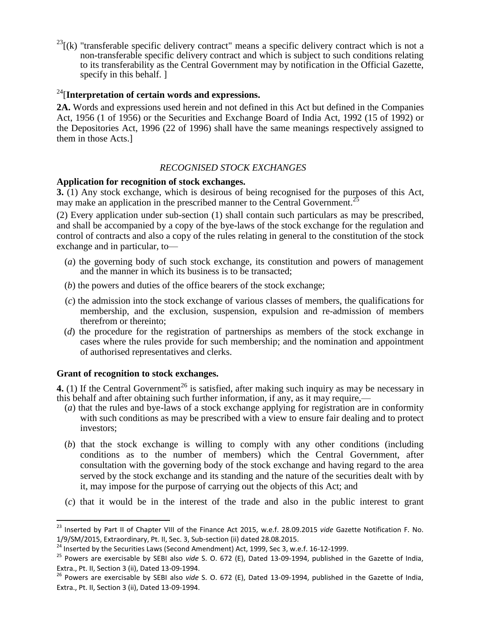$^{23}$ [(k) "transferable specific delivery contract" means a specific delivery contract which is not a non-transferable specific delivery contract and which is subject to such conditions relating to its transferability as the Central Government may by notification in the Official Gazette, specify in this behalf. 1

## <sup>24</sup>[**Interpretation of certain words and expressions.**

**2A.** Words and expressions used herein and not defined in this Act but defined in the Companies Act, 1956 (1 of 1956) or the Securities and Exchange Board of India Act, 1992 (15 of 1992) or the Depositories Act, 1996 (22 of 1996) shall have the same meanings respectively assigned to them in those Acts.]

#### *RECOGNISED STOCK EXCHANGES*

#### **Application for recognition of stock exchanges.**

**3.** (1) Any stock exchange, which is desirous of being recognised for the purposes of this Act, may make an application in the prescribed manner to the Central Government.<sup>2</sup>

(2) Every application under sub-section (1) shall contain such particulars as may be prescribed, and shall be accompanied by a copy of the bye-laws of the stock exchange for the regulation and control of contracts and also a copy of the rules relating in general to the constitution of the stock exchange and in particular, to—

- (*a*) the governing body of such stock exchange, its constitution and powers of management and the manner in which its business is to be transacted;
- (*b*) the powers and duties of the office bearers of the stock exchange;
- (*c*) the admission into the stock exchange of various classes of members, the qualifications for membership, and the exclusion, suspension, expulsion and re-admission of members therefrom or thereinto;
- (*d*) the procedure for the registration of partnerships as members of the stock exchange in cases where the rules provide for such membership; and the nomination and appointment of authorised representatives and clerks.

## **Grant of recognition to stock exchanges.**

-

**4.** (1) If the Central Government<sup>26</sup> is satisfied, after making such inquiry as may be necessary in this behalf and after obtaining such further information, if any, as it may require,—

- (*a*) that the rules and bye-laws of a stock exchange applying for registration are in conformity with such conditions as may be prescribed with a view to ensure fair dealing and to protect investors;
- (*b*) that the stock exchange is willing to comply with any other conditions (including conditions as to the number of members) which the Central Government, after consultation with the governing body of the stock exchange and having regard to the area served by the stock exchange and its standing and the nature of the securities dealt with by it, may impose for the purpose of carrying out the objects of this Act; and
- (*c*) that it would be in the interest of the trade and also in the public interest to grant

<sup>23</sup> Inserted by Part II of Chapter VIII of the Finance Act 2015, w.e.f. 28.09.2015 *vide* Gazette Notification F. No. 1/9/SM/2015, Extraordinary, Pt. II, Sec. 3, Sub-section (ii) dated 28.08.2015.

 $^{24}$  Inserted by the Securities Laws (Second Amendment) Act, 1999, Sec 3, w.e.f. 16-12-1999.

<sup>25</sup> Powers are exercisable by SEBI also *vide* S. O. 672 (E), Dated 13-09-1994, published in the Gazette of India, Extra., Pt. II, Section 3 (ii), Dated 13-09-1994.

<sup>26</sup> Powers are exercisable by SEBI also *vide* S. O. 672 (E), Dated 13-09-1994, published in the Gazette of India, Extra., Pt. II, Section 3 (ii), Dated 13-09-1994.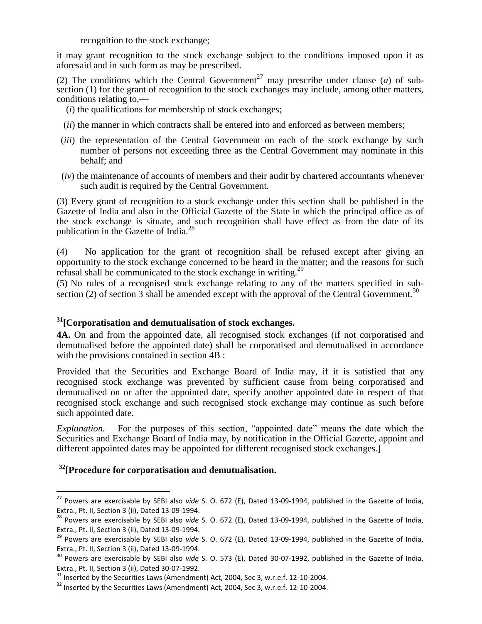recognition to the stock exchange;

it may grant recognition to the stock exchange subject to the conditions imposed upon it as aforesaid and in such form as may be prescribed.

(2) The conditions which the Central Government<sup>27</sup> may prescribe under clause (*a*) of subsection (1) for the grant of recognition to the stock exchanges may include, among other matters, conditions relating to,—

(*i*) the qualifications for membership of stock exchanges;

- (*ii*) the manner in which contracts shall be entered into and enforced as between members;
- (*iii*) the representation of the Central Government on each of the stock exchange by such number of persons not exceeding three as the Central Government may nominate in this behalf; and
- (*iv*) the maintenance of accounts of members and their audit by chartered accountants whenever such audit is required by the Central Government.

(3) Every grant of recognition to a stock exchange under this section shall be published in the Gazette of India and also in the Official Gazette of the State in which the principal office as of the stock exchange is situate, and such recognition shall have effect as from the date of its publication in the Gazette of India.<sup>28</sup>

(4) No application for the grant of recognition shall be refused except after giving an opportunity to the stock exchange concerned to be heard in the matter; and the reasons for such refusal shall be communicated to the stock exchange in writing.<sup>29</sup>

(5) No rules of a recognised stock exchange relating to any of the matters specified in subsection (2) of section 3 shall be amended except with the approval of the Central Government.<sup>30</sup>

# **<sup>31</sup>[Corporatisation and demutualisation of stock exchanges.**

**4A.** On and from the appointed date, all recognised stock exchanges (if not corporatised and demutualised before the appointed date) shall be corporatised and demutualised in accordance with the provisions contained in section  $4B$ :

Provided that the Securities and Exchange Board of India may, if it is satisfied that any recognised stock exchange was prevented by sufficient cause from being corporatised and demutualised on or after the appointed date, specify another appointed date in respect of that recognised stock exchange and such recognised stock exchange may continue as such before such appointed date.

*Explanation.—* For the purposes of this section, "appointed date" means the date which the Securities and Exchange Board of India may, by notification in the Official Gazette, appoint and different appointed dates may be appointed for different recognised stock exchanges.]

# **<sup>32</sup>[Procedure for corporatisation and demutualisation.**

**.** 

<sup>27</sup> Powers are exercisable by SEBI also *vide* S. O. 672 (E), Dated 13-09-1994, published in the Gazette of India, Extra., Pt. II, Section 3 (ii), Dated 13-09-1994.

<sup>28</sup> Powers are exercisable by SEBI also *vide* S. O. 672 (E), Dated 13-09-1994, published in the Gazette of India, Extra., Pt. II, Section 3 (ii), Dated 13-09-1994.

<sup>29</sup> Powers are exercisable by SEBI also *vide* S. O. 672 (E), Dated 13-09-1994, published in the Gazette of India, Extra., Pt. II, Section 3 (ii), Dated 13-09-1994.

<sup>30</sup> Powers are exercisable by SEBI also *vide* S. O. 573 (E), Dated 30-07-1992, published in the Gazette of India, Extra., Pt. II, Section 3 (ii), Dated 30-07-1992.

<sup>&</sup>lt;sup>31</sup> Inserted by the Securities Laws (Amendment) Act, 2004, Sec 3, w.r.e.f. 12-10-2004.

<sup>&</sup>lt;sup>32</sup> Inserted by the Securities Laws (Amendment) Act, 2004, Sec 3, w.r.e.f. 12-10-2004.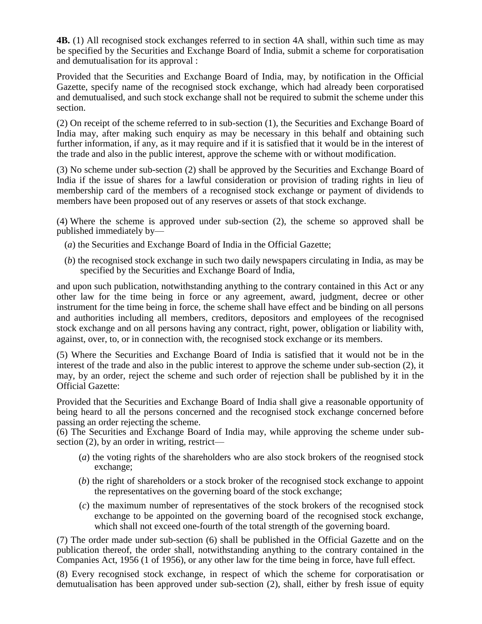**4B.** (1) All recognised stock exchanges referred to in section 4A shall, within such time as may be specified by the Securities and Exchange Board of India, submit a scheme for corporatisation and demutualisation for its approval :

Provided that the Securities and Exchange Board of India, may, by notification in the Official Gazette, specify name of the recognised stock exchange, which had already been corporatised and demutualised, and such stock exchange shall not be required to submit the scheme under this section.

(2) On receipt of the scheme referred to in sub-section (1), the Securities and Exchange Board of India may, after making such enquiry as may be necessary in this behalf and obtaining such further information, if any, as it may require and if it is satisfied that it would be in the interest of the trade and also in the public interest, approve the scheme with or without modification.

(3) No scheme under sub-section (2) shall be approved by the Securities and Exchange Board of India if the issue of shares for a lawful consideration or provision of trading rights in lieu of membership card of the members of a recognised stock exchange or payment of dividends to members have been proposed out of any reserves or assets of that stock exchange.

(4) Where the scheme is approved under sub-section (2), the scheme so approved shall be published immediately by—

- (*a*) the Securities and Exchange Board of India in the Official Gazette;
- (*b*) the recognised stock exchange in such two daily newspapers circulating in India, as may be specified by the Securities and Exchange Board of India,

and upon such publication, notwithstanding anything to the contrary contained in this Act or any other law for the time being in force or any agreement, award, judgment, decree or other instrument for the time being in force, the scheme shall have effect and be binding on all persons and authorities including all members, creditors, depositors and employees of the recognised stock exchange and on all persons having any contract, right, power, obligation or liability with, against, over, to, or in connection with, the recognised stock exchange or its members.

(5) Where the Securities and Exchange Board of India is satisfied that it would not be in the interest of the trade and also in the public interest to approve the scheme under sub-section (2), it may, by an order, reject the scheme and such order of rejection shall be published by it in the Official Gazette:

Provided that the Securities and Exchange Board of India shall give a reasonable opportunity of being heard to all the persons concerned and the recognised stock exchange concerned before passing an order rejecting the scheme.

(6) The Securities and Exchange Board of India may, while approving the scheme under subsection (2), by an order in writing, restrict—

- (*a*) the voting rights of the shareholders who are also stock brokers of the reognised stock exchange;
- (*b*) the right of shareholders or a stock broker of the recognised stock exchange to appoint the representatives on the governing board of the stock exchange;
- (*c*) the maximum number of representatives of the stock brokers of the recognised stock exchange to be appointed on the governing board of the recognised stock exchange, which shall not exceed one-fourth of the total strength of the governing board.

(7) The order made under sub-section (6) shall be published in the Official Gazette and on the publication thereof, the order shall, notwithstanding anything to the contrary contained in the Companies Act, 1956 (1 of 1956), or any other law for the time being in force, have full effect.

(8) Every recognised stock exchange, in respect of which the scheme for corporatisation or demutualisation has been approved under sub-section (2), shall, either by fresh issue of equity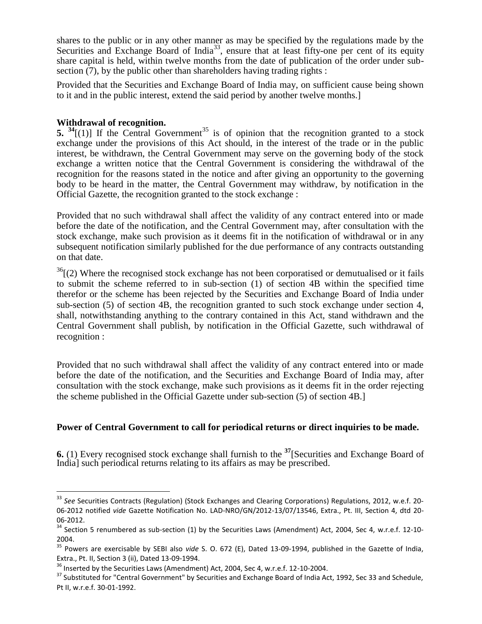shares to the public or in any other manner as may be specified by the regulations made by the Securities and Exchange Board of India<sup>33</sup>, ensure that at least fifty-one per cent of its equity share capital is held, within twelve months from the date of publication of the order under subsection (7), by the public other than shareholders having trading rights :

Provided that the Securities and Exchange Board of India may, on sufficient cause being shown to it and in the public interest, extend the said period by another twelve months.]

## **Withdrawal of recognition.**

**.** 

 $\frac{34}{11}$ [1)] If the Central Government<sup>35</sup> is of opinion that the recognition granted to a stock exchange under the provisions of this Act should, in the interest of the trade or in the public interest, be withdrawn, the Central Government may serve on the governing body of the stock exchange a written notice that the Central Government is considering the withdrawal of the recognition for the reasons stated in the notice and after giving an opportunity to the governing body to be heard in the matter, the Central Government may withdraw, by notification in the Official Gazette, the recognition granted to the stock exchange :

Provided that no such withdrawal shall affect the validity of any contract entered into or made before the date of the notification, and the Central Government may, after consultation with the stock exchange, make such provision as it deems fit in the notification of withdrawal or in any subsequent notification similarly published for the due performance of any contracts outstanding on that date.

 $36$ [(2) Where the recognised stock exchange has not been corporatised or demutualised or it fails to submit the scheme referred to in sub-section (1) of section 4B within the specified time therefor or the scheme has been rejected by the Securities and Exchange Board of India under sub-section (5) of section 4B, the recognition granted to such stock exchange under section 4, shall, notwithstanding anything to the contrary contained in this Act, stand withdrawn and the Central Government shall publish, by notification in the Official Gazette, such withdrawal of recognition :

Provided that no such withdrawal shall affect the validity of any contract entered into or made before the date of the notification, and the Securities and Exchange Board of India may, after consultation with the stock exchange, make such provisions as it deems fit in the order rejecting the scheme published in the Official Gazette under sub-section (5) of section 4B.]

## **Power of Central Government to call for periodical returns or direct inquiries to be made.**

**6.** (1) Every recognised stock exchange shall furnish to the **<sup>37</sup>**[Securities and Exchange Board of India] such periodical returns relating to its affairs as may be prescribed.

<sup>33</sup> *See* Securities Contracts (Regulation) (Stock Exchanges and Clearing Corporations) Regulations, 2012, w.e.f. 20- 06-2012 notified *vide* Gazette Notification No. LAD-NRO/GN/2012-13/07/13546, Extra., Pt. III, Section 4, dtd 20- 06-2012.

<sup>&</sup>lt;sup>34</sup> Section 5 renumbered as sub-section (1) by the Securities Laws (Amendment) Act, 2004, Sec 4, w.r.e.f. 12-10-2004.

<sup>35</sup> Powers are exercisable by SEBI also *vide* S. O. 672 (E), Dated 13-09-1994, published in the Gazette of India, Extra., Pt. II, Section 3 (ii), Dated 13-09-1994.

<sup>36</sup> Inserted by the Securities Laws (Amendment) Act, 2004, Sec 4, w.r.e.f. 12-10-2004.

<sup>&</sup>lt;sup>37</sup> Substituted for "Central Government" by Securities and Exchange Board of India Act, 1992, Sec 33 and Schedule, Pt II, w.r.e.f. 30-01-1992.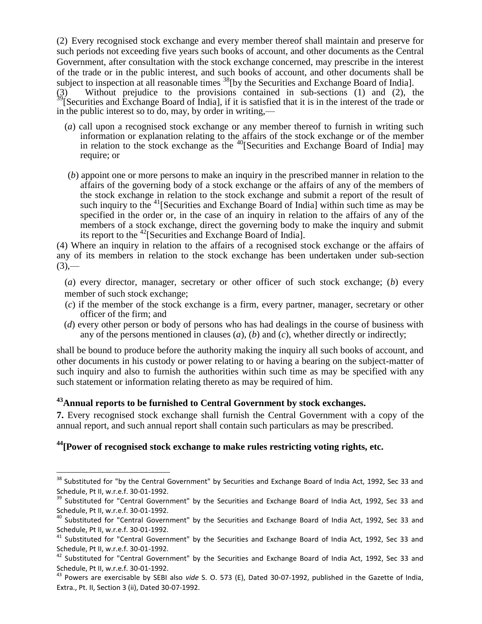(2) Every recognised stock exchange and every member thereof shall maintain and preserve for such periods not exceeding five years such books of account, and other documents as the Central Government, after consultation with the stock exchange concerned, may prescribe in the interest of the trade or in the public interest, and such books of account, and other documents shall be subject to inspection at all reasonable times  $^{38}$  [by the Securities and Exchange Board of India].

 $\begin{pmatrix} 3 \\ \end{pmatrix}$  Without prejudice to the provisions contained in sub-sections (1) and (2), the  $\frac{3}{2}$ [Securities and Exchange Board of India], if it is satisfied that it is in the interest of the trade or in the public interest so to do, may, by order in writing,—

- (*a*) call upon a recognised stock exchange or any member thereof to furnish in writing such information or explanation relating to the affairs of the stock exchange or of the member in relation to the stock exchange as the  $^{40}$ [Securities and Exchange Board of India] may require; or
- (*b*) appoint one or more persons to make an inquiry in the prescribed manner in relation to the affairs of the governing body of a stock exchange or the affairs of any of the members of the stock exchange in relation to the stock exchange and submit a report of the result of such inquiry to the  $41$ [Securities and Exchange Board of India] within such time as may be specified in the order or, in the case of an inquiry in relation to the affairs of any of the members of a stock exchange, direct the governing body to make the inquiry and submit its report to the  $^{42}$ [Securities and Exchange Board of India].

(4) Where an inquiry in relation to the affairs of a recognised stock exchange or the affairs of any of its members in relation to the stock exchange has been undertaken under sub-section  $(3)$ ,—

(*a*) every director, manager, secretary or other officer of such stock exchange; (*b*) every member of such stock exchange;

- (*c*) if the member of the stock exchange is a firm, every partner, manager, secretary or other officer of the firm; and
- (*d*) every other person or body of persons who has had dealings in the course of business with any of the persons mentioned in clauses (*a*), (*b*) and (*c*), whether directly or indirectly;

shall be bound to produce before the authority making the inquiry all such books of account, and other documents in his custody or power relating to or having a bearing on the subject-matter of such inquiry and also to furnish the authorities within such time as may be specified with any such statement or information relating thereto as may be required of him.

## **<sup>43</sup>Annual reports to be furnished to Central Government by stock exchanges.**

-

**7.** Every recognised stock exchange shall furnish the Central Government with a copy of the annual report, and such annual report shall contain such particulars as may be prescribed.

# **<sup>44</sup>[Power of recognised stock exchange to make rules restricting voting rights, etc.**

<sup>&</sup>lt;sup>38</sup> Substituted for "by the Central Government" by Securities and Exchange Board of India Act, 1992, Sec 33 and Schedule, Pt II, w.r.e.f. 30-01-1992.

<sup>&</sup>lt;sup>39</sup> Substituted for "Central Government" by the Securities and Exchange Board of India Act, 1992, Sec 33 and Schedule, Pt II, w.r.e.f. 30-01-1992.

<sup>&</sup>lt;sup>40</sup> Substituted for "Central Government" by the Securities and Exchange Board of India Act, 1992, Sec 33 and Schedule, Pt II, w.r.e.f. 30-01-1992.

<sup>&</sup>lt;sup>41</sup> Substituted for "Central Government" by the Securities and Exchange Board of India Act, 1992, Sec 33 and Schedule, Pt II, w.r.e.f. 30-01-1992.

<sup>&</sup>lt;sup>42</sup> Substituted for "Central Government" by the Securities and Exchange Board of India Act, 1992, Sec 33 and Schedule, Pt II, w.r.e.f. 30-01-1992.

<sup>43</sup> Powers are exercisable by SEBI also *vide* S. O. 573 (E), Dated 30-07-1992, published in the Gazette of India, Extra., Pt. II, Section 3 (ii), Dated 30-07-1992.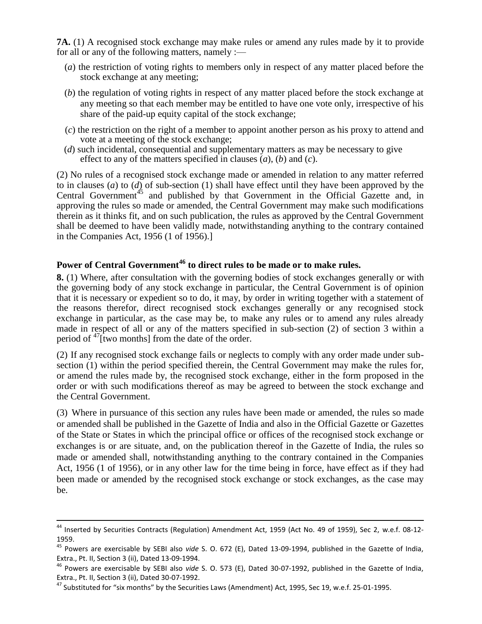**7A.** (1) A recognised stock exchange may make rules or amend any rules made by it to provide for all or any of the following matters, namely :—

- (*a*) the restriction of voting rights to members only in respect of any matter placed before the stock exchange at any meeting;
- (*b*) the regulation of voting rights in respect of any matter placed before the stock exchange at any meeting so that each member may be entitled to have one vote only, irrespective of his share of the paid-up equity capital of the stock exchange:
- (*c*) the restriction on the right of a member to appoint another person as his proxy to attend and vote at a meeting of the stock exchange;
- (*d*) such incidental, consequential and supplementary matters as may be necessary to give effect to any of the matters specified in clauses (*a*), (*b*) and (*c*).

(2) No rules of a recognised stock exchange made or amended in relation to any matter referred to in clauses (*a*) to (*d*) of sub-section (1) shall have effect until they have been approved by the Central Government<sup>45</sup> and published by that Government in the Official Gazette and, in approving the rules so made or amended, the Central Government may make such modifications therein as it thinks fit, and on such publication, the rules as approved by the Central Government shall be deemed to have been validly made, notwithstanding anything to the contrary contained in the Companies Act, 1956 (1 of 1956).]

# **Power of Central Government<sup>46</sup> to direct rules to be made or to make rules.**

**8.** (1) Where, after consultation with the governing bodies of stock exchanges generally or with the governing body of any stock exchange in particular, the Central Government is of opinion that it is necessary or expedient so to do, it may, by order in writing together with a statement of the reasons therefor, direct recognised stock exchanges generally or any recognised stock exchange in particular, as the case may be, to make any rules or to amend any rules already made in respect of all or any of the matters specified in sub-section (2) of section 3 within a period of  $47$ [two months] from the date of the order.

(2) If any recognised stock exchange fails or neglects to comply with any order made under subsection (1) within the period specified therein, the Central Government may make the rules for, or amend the rules made by, the recognised stock exchange, either in the form proposed in the order or with such modifications thereof as may be agreed to between the stock exchange and the Central Government.

(3) Where in pursuance of this section any rules have been made or amended, the rules so made or amended shall be published in the Gazette of India and also in the Official Gazette or Gazettes of the State or States in which the principal office or offices of the recognised stock exchange or exchanges is or are situate, and, on the publication thereof in the Gazette of India, the rules so made or amended shall, notwithstanding anything to the contrary contained in the Companies Act, 1956 (1 of 1956), or in any other law for the time being in force, have effect as if they had been made or amended by the recognised stock exchange or stock exchanges, as the case may be.

-

<sup>&</sup>lt;sup>44</sup> Inserted by Securities Contracts (Regulation) Amendment Act, 1959 (Act No. 49 of 1959), Sec 2, w.e.f. 08-12-1959.

<sup>45</sup> Powers are exercisable by SEBI also *vide* S. O. 672 (E), Dated 13-09-1994, published in the Gazette of India, Extra., Pt. II, Section 3 (ii), Dated 13-09-1994.

<sup>46</sup> Powers are exercisable by SEBI also *vide* S. O. 573 (E), Dated 30-07-1992, published in the Gazette of India, Extra., Pt. II, Section 3 (ii), Dated 30-07-1992.

<sup>47</sup> Substituted for "six months" by the Securities Laws (Amendment) Act, 1995, Sec 19, w.e.f. 25-01-1995.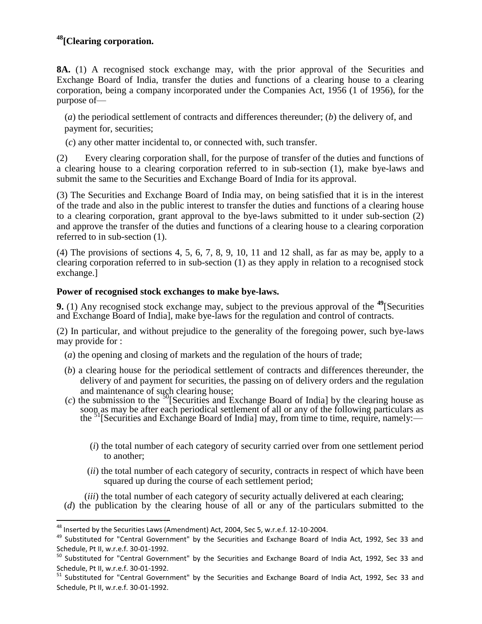# **<sup>48</sup>[Clearing corporation.**

8A. (1) A recognised stock exchange may, with the prior approval of the Securities and Exchange Board of India, transfer the duties and functions of a clearing house to a clearing corporation, being a company incorporated under the Companies Act, 1956 (1 of 1956), for the purpose of—

(*a*) the periodical settlement of contracts and differences thereunder; (*b*) the delivery of, and payment for, securities;

(*c*) any other matter incidental to, or connected with, such transfer.

(2) Every clearing corporation shall, for the purpose of transfer of the duties and functions of a clearing house to a clearing corporation referred to in sub-section (1), make bye-laws and submit the same to the Securities and Exchange Board of India for its approval.

(3) The Securities and Exchange Board of India may, on being satisfied that it is in the interest of the trade and also in the public interest to transfer the duties and functions of a clearing house to a clearing corporation, grant approval to the bye-laws submitted to it under sub-section (2) and approve the transfer of the duties and functions of a clearing house to a clearing corporation referred to in sub-section (1).

(4) The provisions of sections 4, 5, 6, 7, 8, 9, 10, 11 and 12 shall, as far as may be, apply to a clearing corporation referred to in sub-section (1) as they apply in relation to a recognised stock exchange.]

## **Power of recognised stock exchanges to make bye-laws.**

**9.** (1) Any recognised stock exchange may, subject to the previous approval of the <sup>49</sup>[Securities] and Exchange Board of India], make bye-laws for the regulation and control of contracts.

(2) In particular, and without prejudice to the generality of the foregoing power, such bye-laws may provide for :

- (*a*) the opening and closing of markets and the regulation of the hours of trade;
- (*b*) a clearing house for the periodical settlement of contracts and differences thereunder, the delivery of and payment for securities, the passing on of delivery orders and the regulation and maintenance of such clearing house;
- $(c)$  the submission to the <sup>50</sup>[Securities and Exchange Board of India] by the clearing house as soon as may be after each periodical settlement of all or any of the following particulars as the  $51$ [Securities and Exchange Board of India] may, from time to time, require, namely:—
	- (*i*) the total number of each category of security carried over from one settlement period to another;
	- (*ii*) the total number of each category of security, contracts in respect of which have been squared up during the course of each settlement period:
	- (*iii*) the total number of each category of security actually delivered at each clearing;
- (*d*) the publication by the clearing house of all or any of the particulars submitted to the

-

 $^{48}$  Inserted by the Securities Laws (Amendment) Act, 2004, Sec 5, w.r.e.f. 12-10-2004.

<sup>&</sup>lt;sup>49</sup> Substituted for "Central Government" by the Securities and Exchange Board of India Act, 1992, Sec 33 and Schedule, Pt II, w.r.e.f. 30-01-1992.

<sup>&</sup>lt;sup>50</sup> Substituted for "Central Government" by the Securities and Exchange Board of India Act, 1992, Sec 33 and Schedule, Pt II, w.r.e.f. 30-01-1992.

<sup>&</sup>lt;sup>51</sup> Substituted for "Central Government" by the Securities and Exchange Board of India Act, 1992, Sec 33 and Schedule, Pt II, w.r.e.f. 30-01-1992.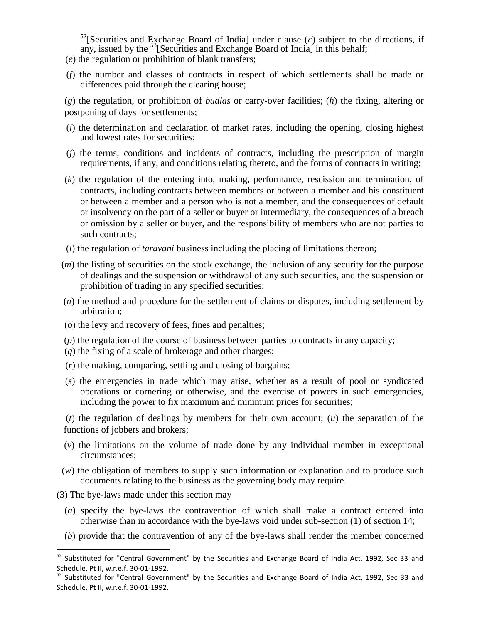<sup>52</sup>[Securities and Exchange Board of India] under clause (*c*) subject to the directions, if any, issued by the  $53$ [Securities and Exchange Board of India] in this behalf;

- (*e*) the regulation or prohibition of blank transfers;
- (*f*) the number and classes of contracts in respect of which settlements shall be made or differences paid through the clearing house;

(*g*) the regulation, or prohibition of *budlas* or carry-over facilities; (*h*) the fixing, altering or postponing of days for settlements;

- (*i*) the determination and declaration of market rates, including the opening, closing highest and lowest rates for securities;
- (*j*) the terms, conditions and incidents of contracts, including the prescription of margin requirements, if any, and conditions relating thereto, and the forms of contracts in writing;
- (*k*) the regulation of the entering into, making, performance, rescission and termination, of contracts, including contracts between members or between a member and his constituent or between a member and a person who is not a member, and the consequences of default or insolvency on the part of a seller or buyer or intermediary, the consequences of a breach or omission by a seller or buyer, and the responsibility of members who are not parties to such contracts;
- (*l*) the regulation of *taravani* business including the placing of limitations thereon;
- (*m*) the listing of securities on the stock exchange, the inclusion of any security for the purpose of dealings and the suspension or withdrawal of any such securities, and the suspension or prohibition of trading in any specified securities;
- (*n*) the method and procedure for the settlement of claims or disputes, including settlement by arbitration;
- (*o*) the levy and recovery of fees, fines and penalties;
- (*p*) the regulation of the course of business between parties to contracts in any capacity;
- (*q*) the fixing of a scale of brokerage and other charges;
- (*r*) the making, comparing, settling and closing of bargains;
- (*s*) the emergencies in trade which may arise, whether as a result of pool or syndicated operations or cornering or otherwise, and the exercise of powers in such emergencies, including the power to fix maximum and minimum prices for securities;

(*t*) the regulation of dealings by members for their own account; (*u*) the separation of the functions of jobbers and brokers;

- (*v*) the limitations on the volume of trade done by any individual member in exceptional circumstances;
- (*w*) the obligation of members to supply such information or explanation and to produce such documents relating to the business as the governing body may require.

(3) The bye-laws made under this section may—

1

- (*a*) specify the bye-laws the contravention of which shall make a contract entered into otherwise than in accordance with the bye-laws void under sub-section (1) of section 14;
- (*b*) provide that the contravention of any of the bye-laws shall render the member concerned

<sup>&</sup>lt;sup>52</sup> Substituted for "Central Government" by the Securities and Exchange Board of India Act, 1992, Sec 33 and Schedule, Pt II, w.r.e.f. 30-01-1992.

<sup>&</sup>lt;sup>53</sup> Substituted for "Central Government" by the Securities and Exchange Board of India Act, 1992, Sec 33 and Schedule, Pt II, w.r.e.f. 30-01-1992.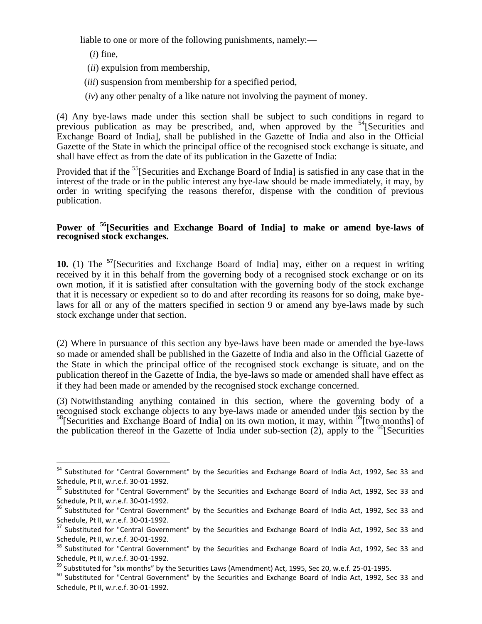liable to one or more of the following punishments, namely:—

(*i*) fine,

-

- (*ii*) expulsion from membership,
- (*iii*) suspension from membership for a specified period,
- (*iv*) any other penalty of a like nature not involving the payment of money.

(4) Any bye-laws made under this section shall be subject to such conditions in regard to previous publication as may be prescribed, and, when approved by the  $54$ [Securities and Exchange Board of India], shall be published in the Gazette of India and also in the Official Gazette of the State in which the principal office of the recognised stock exchange is situate, and shall have effect as from the date of its publication in the Gazette of India:

Provided that if the <sup>55</sup>[Securities and Exchange Board of India] is satisfied in any case that in the interest of the trade or in the public interest any bye-law should be made immediately, it may, by order in writing specifying the reasons therefor, dispense with the condition of previous publication.

## **Power of <sup>56</sup>[Securities and Exchange Board of India] to make or amend bye-laws of recognised stock exchanges.**

**10.** (1) The **<sup>57</sup>**[Securities and Exchange Board of India] may, either on a request in writing received by it in this behalf from the governing body of a recognised stock exchange or on its own motion, if it is satisfied after consultation with the governing body of the stock exchange that it is necessary or expedient so to do and after recording its reasons for so doing, make byelaws for all or any of the matters specified in section 9 or amend any bye-laws made by such stock exchange under that section.

(2) Where in pursuance of this section any bye-laws have been made or amended the bye-laws so made or amended shall be published in the Gazette of India and also in the Official Gazette of the State in which the principal office of the recognised stock exchange is situate, and on the publication thereof in the Gazette of India, the bye-laws so made or amended shall have effect as if they had been made or amended by the recognised stock exchange concerned.

(3) Notwithstanding anything contained in this section, where the governing body of a recognised stock exchange objects to any bye-laws made or amended under this section by the  $58$ [Securities and Exchange Board of India] on its own motion, it may, within  $59$ [two months] of the publication thereof in the Gazette of India under sub-section  $(2)$ , apply to the <sup>60</sup>[Securities]

<sup>&</sup>lt;sup>54</sup> Substituted for "Central Government" by the Securities and Exchange Board of India Act, 1992, Sec 33 and Schedule, Pt II, w.r.e.f. 30-01-1992.

<sup>&</sup>lt;sup>55</sup> Substituted for "Central Government" by the Securities and Exchange Board of India Act, 1992, Sec 33 and Schedule, Pt II, w.r.e.f. 30-01-1992.

<sup>56</sup> Substituted for "Central Government" by the Securities and Exchange Board of India Act, 1992, Sec 33 and Schedule, Pt II, w.r.e.f. 30-01-1992.

<sup>&</sup>lt;sup>57</sup> Substituted for "Central Government" by the Securities and Exchange Board of India Act, 1992, Sec 33 and Schedule, Pt II, w.r.e.f. 30-01-1992.

<sup>&</sup>lt;sup>58</sup> Substituted for "Central Government" by the Securities and Exchange Board of India Act, 1992, Sec 33 and Schedule, Pt II, w.r.e.f. 30-01-1992.

<sup>&</sup>lt;sup>59</sup> Substituted for "six months" by the Securities Laws (Amendment) Act, 1995, Sec 20, w.e.f. 25-01-1995.

<sup>&</sup>lt;sup>60</sup> Substituted for "Central Government" by the Securities and Exchange Board of India Act, 1992, Sec 33 and Schedule, Pt II, w.r.e.f. 30-01-1992.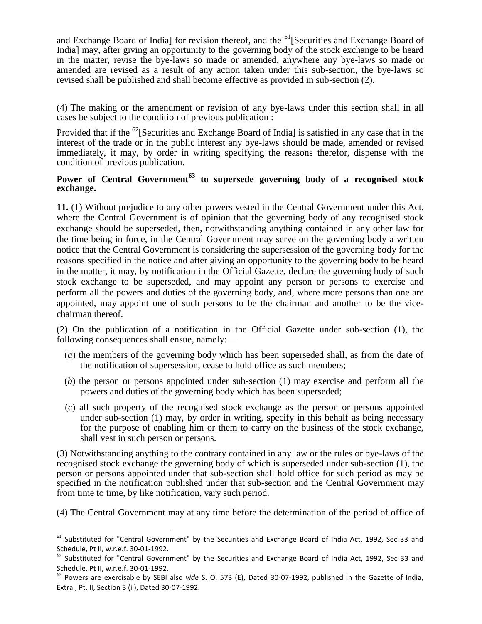and Exchange Board of Indial for revision thereof, and the <sup>61</sup>[Securities and Exchange Board of India] may, after giving an opportunity to the governing body of the stock exchange to be heard in the matter, revise the bye-laws so made or amended, anywhere any bye-laws so made or amended are revised as a result of any action taken under this sub-section, the bye-laws so revised shall be published and shall become effective as provided in sub-section (2).

(4) The making or the amendment or revision of any bye-laws under this section shall in all cases be subject to the condition of previous publication :

Provided that if the <sup>62</sup>[Securities and Exchange Board of India] is satisfied in any case that in the interest of the trade or in the public interest any bye-laws should be made, amended or revised immediately, it may, by order in writing specifying the reasons therefor, dispense with the condition of previous publication.

## **Power of Central Government<sup>63</sup> to supersede governing body of a recognised stock exchange.**

**11.** (1) Without prejudice to any other powers vested in the Central Government under this Act, where the Central Government is of opinion that the governing body of any recognised stock exchange should be superseded, then, notwithstanding anything contained in any other law for the time being in force, in the Central Government may serve on the governing body a written notice that the Central Government is considering the supersession of the governing body for the reasons specified in the notice and after giving an opportunity to the governing body to be heard in the matter, it may, by notification in the Official Gazette, declare the governing body of such stock exchange to be superseded, and may appoint any person or persons to exercise and perform all the powers and duties of the governing body, and, where more persons than one are appointed, may appoint one of such persons to be the chairman and another to be the vicechairman thereof.

(2) On the publication of a notification in the Official Gazette under sub-section (1), the following consequences shall ensue, namely:—

- (*a*) the members of the governing body which has been superseded shall, as from the date of the notification of supersession, cease to hold office as such members;
- (*b*) the person or persons appointed under sub-section (1) may exercise and perform all the powers and duties of the governing body which has been superseded;
- (*c*) all such property of the recognised stock exchange as the person or persons appointed under sub-section (1) may, by order in writing, specify in this behalf as being necessary for the purpose of enabling him or them to carry on the business of the stock exchange, shall vest in such person or persons.

(3) Notwithstanding anything to the contrary contained in any law or the rules or bye-laws of the recognised stock exchange the governing body of which is superseded under sub-section (1), the person or persons appointed under that sub-section shall hold office for such period as may be specified in the notification published under that sub-section and the Central Government may from time to time, by like notification, vary such period.

(4) The Central Government may at any time before the determination of the period of office of

1

 $61$  Substituted for "Central Government" by the Securities and Exchange Board of India Act, 1992, Sec 33 and Schedule, Pt II, w.r.e.f. 30-01-1992.

<sup>&</sup>lt;sup>62</sup> Substituted for "Central Government" by the Securities and Exchange Board of India Act, 1992, Sec 33 and Schedule, Pt II, w.r.e.f. 30-01-1992.

<sup>63</sup> Powers are exercisable by SEBI also *vide* S. O. 573 (E), Dated 30-07-1992, published in the Gazette of India, Extra., Pt. II, Section 3 (ii), Dated 30-07-1992.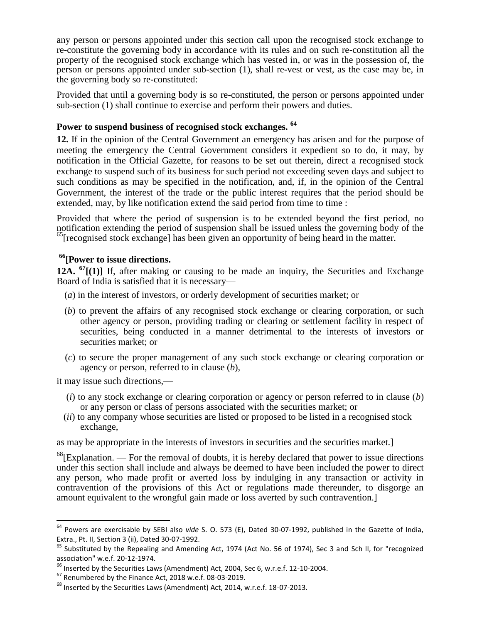any person or persons appointed under this section call upon the recognised stock exchange to re-constitute the governing body in accordance with its rules and on such re-constitution all the property of the recognised stock exchange which has vested in, or was in the possession of, the person or persons appointed under sub-section (1), shall re-vest or vest, as the case may be, in the governing body so re-constituted:

Provided that until a governing body is so re-constituted, the person or persons appointed under sub-section (1) shall continue to exercise and perform their powers and duties.

# **Power to suspend business of recognised stock exchanges. <sup>64</sup>**

**12.** If in the opinion of the Central Government an emergency has arisen and for the purpose of meeting the emergency the Central Government considers it expedient so to do, it may, by notification in the Official Gazette, for reasons to be set out therein, direct a recognised stock exchange to suspend such of its business for such period not exceeding seven days and subject to such conditions as may be specified in the notification, and, if, in the opinion of the Central Government, the interest of the trade or the public interest requires that the period should be extended, may, by like notification extend the said period from time to time :

Provided that where the period of suspension is to be extended beyond the first period, no notification extending the period of suspension shall be issued unless the governing body of the <sup>65</sup>[recognised stock exchange] has been given an opportunity of being heard in the matter.

# **<sup>66</sup>[Power to issue directions.**

**12A. <sup>67</sup>[(1)]** If, after making or causing to be made an inquiry, the Securities and Exchange Board of India is satisfied that it is necessary—

- (*a*) in the interest of investors, or orderly development of securities market; or
- (*b*) to prevent the affairs of any recognised stock exchange or clearing corporation, or such other agency or person, providing trading or clearing or settlement facility in respect of securities, being conducted in a manner detrimental to the interests of investors or securities market; or
- (*c*) to secure the proper management of any such stock exchange or clearing corporation or agency or person, referred to in clause (*b*),

it may issue such directions,—

-

- (*i*) to any stock exchange or clearing corporation or agency or person referred to in clause (*b*) or any person or class of persons associated with the securities market; or
- (*ii*) to any company whose securities are listed or proposed to be listed in a recognised stock exchange,

as may be appropriate in the interests of investors in securities and the securities market.]

 $^{68}$ [Explanation. — For the removal of doubts, it is hereby declared that power to issue directions under this section shall include and always be deemed to have been included the power to direct any person, who made profit or averted loss by indulging in any transaction or activity in contravention of the provisions of this Act or regulations made thereunder, to disgorge an amount equivalent to the wrongful gain made or loss averted by such contravention.]

<sup>64</sup> Powers are exercisable by SEBI also *vide* S. O. 573 (E), Dated 30-07-1992, published in the Gazette of India, Extra., Pt. II, Section 3 (ii), Dated 30-07-1992.

 $65$  Substituted by the Repealing and Amending Act, 1974 (Act No. 56 of 1974), Sec 3 and Sch II, for "recognized association" w.e.f. 20-12-1974.

<sup>&</sup>lt;sup>66</sup> Inserted by the Securities Laws (Amendment) Act, 2004, Sec 6, w.r.e.f. 12-10-2004.

<sup>67</sup> Renumbered by the Finance Act, 2018 w.e.f. 08-03-2019.

<sup>68</sup> Inserted by the Securities Laws (Amendment) Act, 2014, w.r.e.f. 18-07-2013.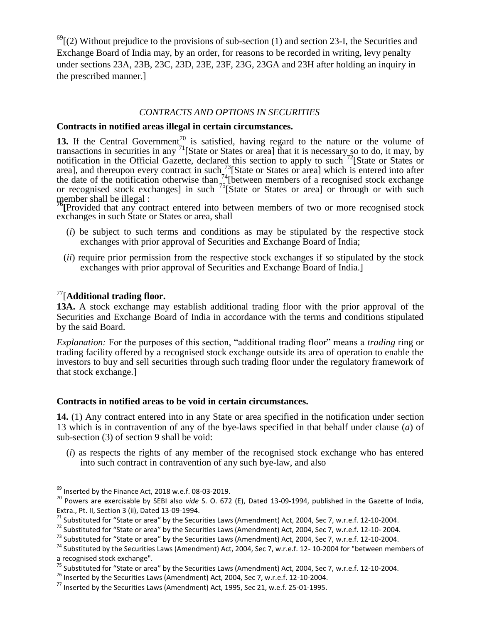$^{69}$ [(2) Without prejudice to the provisions of sub-section (1) and section 23-I, the Securities and Exchange Board of India may, by an order, for reasons to be recorded in writing, levy penalty under sections 23A, 23B, 23C, 23D, 23E, 23F, 23G, 23GA and 23H after holding an inquiry in the prescribed manner.]

#### *CONTRACTS AND OPTIONS IN SECURITIES*

#### **Contracts in notified areas illegal in certain circumstances.**

13. If the Central Government<sup>70</sup> is satisfied, having regard to the nature or the volume of transactions in securities in any <sup>71</sup>[State or States or area] that it is necessary so to do, it may, by notification in the Official Gazette, declared this section to apply to such  $^{72}$ [State or States or area], and thereupon every contract in such  $^{73}_{1}$ [State or States or area] which is entered into after the date of the notification otherwise than  $^{74}_{75}$ [between members of a recognised stock exchange or recognised stock exchanges] in such  $^{75}$ [State or States or area] or through or with such member shall be illegal :

**<sup>76</sup>[**Provided that any contract entered into between members of two or more recognised stock exchanges in such State or States or area, shall—

- (*i*) be subject to such terms and conditions as may be stipulated by the respective stock exchanges with prior approval of Securities and Exchange Board of India;
- (*ii*) require prior permission from the respective stock exchanges if so stipulated by the stock exchanges with prior approval of Securities and Exchange Board of India.]

## <sup>77</sup>[**Additional trading floor.**

**13A.** A stock exchange may establish additional trading floor with the prior approval of the Securities and Exchange Board of India in accordance with the terms and conditions stipulated by the said Board.

*Explanation:* For the purposes of this section, "additional trading floor" means a *trading* ring or trading facility offered by a recognised stock exchange outside its area of operation to enable the investors to buy and sell securities through such trading floor under the regulatory framework of that stock exchange.]

#### **Contracts in notified areas to be void in certain circumstances.**

**14.** (1) Any contract entered into in any State or area specified in the notification under section 13 which is in contravention of any of the bye-laws specified in that behalf under clause (*a*) of sub-section (3) of section 9 shall be void:

(*i*) as respects the rights of any member of the recognised stock exchange who has entered into such contract in contravention of any such bye-law, and also

1

 $^{69}$  Inserted by the Finance Act, 2018 w.e.f. 08-03-2019.

<sup>70</sup> Powers are exercisable by SEBI also *vide* S. O. 672 (E), Dated 13-09-1994, published in the Gazette of India, Extra., Pt. II, Section 3 (ii), Dated 13-09-1994.

 $71$  Substituted for "State or area" by the Securities Laws (Amendment) Act, 2004, Sec 7, w.r.e.f. 12-10-2004.

<sup>&</sup>lt;sup>72</sup> Substituted for "State or area" by the Securities Laws (Amendment) Act, 2004, Sec 7, w.r.e.f. 12-10- 2004.

<sup>&</sup>lt;sup>73</sup> Substituted for "State or area" by the Securities Laws (Amendment) Act, 2004, Sec 7, w.r.e.f. 12-10-2004.

<sup>&</sup>lt;sup>74</sup> Substituted by the Securities Laws (Amendment) Act, 2004, Sec 7, w.r.e.f. 12-10-2004 for "between members of a recognised stock exchange".

<sup>75</sup> Substituted for "State or area" by the Securities Laws (Amendment) Act, 2004, Sec 7, w.r.e.f. 12-10-2004.

<sup>76</sup> Inserted by the Securities Laws (Amendment) Act, 2004, Sec 7, w.r.e.f. 12-10-2004.

<sup>77</sup> Inserted by the Securities Laws (Amendment) Act, 1995, Sec 21, w.e.f. 25-01-1995.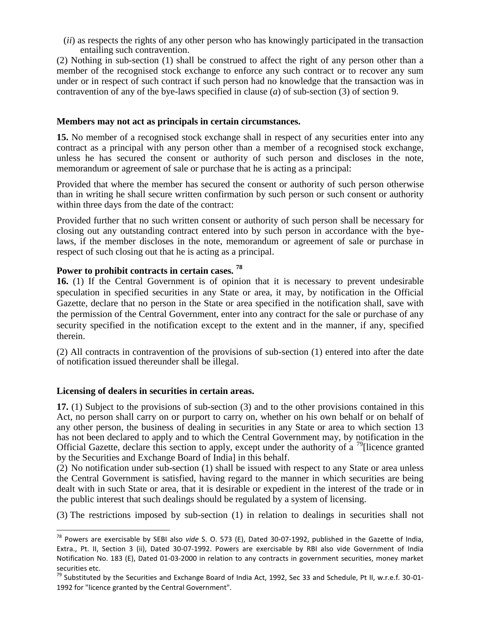(*ii*) as respects the rights of any other person who has knowingly participated in the transaction entailing such contravention.

(2) Nothing in sub-section (1) shall be construed to affect the right of any person other than a member of the recognised stock exchange to enforce any such contract or to recover any sum under or in respect of such contract if such person had no knowledge that the transaction was in contravention of any of the bye-laws specified in clause (*a*) of sub-section (3) of section 9.

#### **Members may not act as principals in certain circumstances.**

**15.** No member of a recognised stock exchange shall in respect of any securities enter into any contract as a principal with any person other than a member of a recognised stock exchange, unless he has secured the consent or authority of such person and discloses in the note, memorandum or agreement of sale or purchase that he is acting as a principal:

Provided that where the member has secured the consent or authority of such person otherwise than in writing he shall secure written confirmation by such person or such consent or authority within three days from the date of the contract:

Provided further that no such written consent or authority of such person shall be necessary for closing out any outstanding contract entered into by such person in accordance with the byelaws, if the member discloses in the note, memorandum or agreement of sale or purchase in respect of such closing out that he is acting as a principal.

# **Power to prohibit contracts in certain cases. <sup>78</sup>**

**16.** (1) If the Central Government is of opinion that it is necessary to prevent undesirable speculation in specified securities in any State or area, it may, by notification in the Official Gazette, declare that no person in the State or area specified in the notification shall, save with the permission of the Central Government, enter into any contract for the sale or purchase of any security specified in the notification except to the extent and in the manner, if any, specified therein.

(2) All contracts in contravention of the provisions of sub-section (1) entered into after the date of notification issued thereunder shall be illegal.

#### **Licensing of dealers in securities in certain areas.**

1

**17.** (1) Subject to the provisions of sub-section (3) and to the other provisions contained in this Act, no person shall carry on or purport to carry on, whether on his own behalf or on behalf of any other person, the business of dealing in securities in any State or area to which section 13 has not been declared to apply and to which the Central Government may, by notification in the Official Gazette, declare this section to apply, except under the authority of a  $^{79}$ [licence granted by the Securities and Exchange Board of India] in this behalf.

(2) No notification under sub-section (1) shall be issued with respect to any State or area unless the Central Government is satisfied, having regard to the manner in which securities are being dealt with in such State or area, that it is desirable or expedient in the interest of the trade or in the public interest that such dealings should be regulated by a system of licensing.

(3) The restrictions imposed by sub-section (1) in relation to dealings in securities shall not

<sup>78</sup> Powers are exercisable by SEBI also *vide* S. O. 573 (E), Dated 30-07-1992, published in the Gazette of India, Extra., Pt. II, Section 3 (ii), Dated 30-07-1992. Powers are exercisable by RBI also vide Government of India Notification No. 183 (E), Dated 01-03-2000 in relation to any contracts in government securities, money market securities etc.

<sup>&</sup>lt;sup>79</sup> Substituted by the Securities and Exchange Board of India Act, 1992, Sec 33 and Schedule, Pt II, w.r.e.f. 30-01-1992 for "licence granted by the Central Government".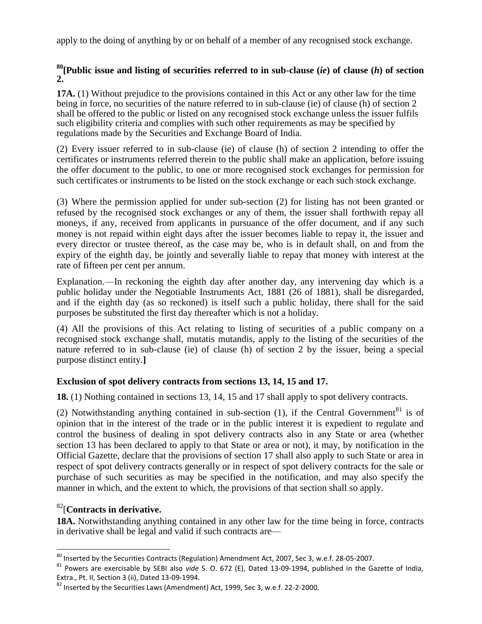apply to the doing of anything by or on behalf of a member of any recognised stock exchange.

## **<sup>80</sup>[Public issue and listing of securities referred to in sub-clause (***ie***) of clause (***h***) of section 2.**

**17A.** (1) Without prejudice to the provisions contained in this Act or any other law for the time being in force, no securities of the nature referred to in sub-clause (ie) of clause (h) of section 2 shall be offered to the public or listed on any recognised stock exchange unless the issuer fulfils such eligibility criteria and complies with such other requirements as may be specified by regulations made by the Securities and Exchange Board of India.

(2) Every issuer referred to in sub-clause (ie) of clause (h) of section 2 intending to offer the certificates or instruments referred therein to the public shall make an application, before issuing the offer document to the public, to one or more recognised stock exchanges for permission for such certificates or instruments to be listed on the stock exchange or each such stock exchange.

(3) Where the permission applied for under sub-section (2) for listing has not been granted or refused by the recognised stock exchanges or any of them, the issuer shall forthwith repay all moneys, if any, received from applicants in pursuance of the offer document, and if any such money is not repaid within eight days after the issuer becomes liable to repay it, the issuer and every director or trustee thereof, as the case may be, who is in default shall, on and from the expiry of the eighth day, be jointly and severally liable to repay that money with interest at the rate of fifteen per cent per annum.

Explanation.—In reckoning the eighth day after another day, any intervening day which is a public holiday under the Negotiable Instruments Act, 1881 (26 of 1881), shall be disregarded, and if the eighth day (as so reckoned) is itself such a public holiday, there shall for the said purposes be substituted the first day thereafter which is not a holiday.

(4) All the provisions of this Act relating to listing of securities of a public company on a recognised stock exchange shall, mutatis mutandis, apply to the listing of the securities of the nature referred to in sub-clause (ie) of clause (h) of section 2 by the issuer, being a special purpose distinct entity.**]**

## **Exclusion of spot delivery contracts from sections 13, 14, 15 and 17.**

**18.** (1) Nothing contained in sections 13, 14, 15 and 17 shall apply to spot delivery contracts.

(2) Notwithstanding anything contained in sub-section (1), if the Central Government<sup>81</sup> is of opinion that in the interest of the trade or in the public interest it is expedient to regulate and control the business of dealing in spot delivery contracts also in any State or area (whether section 13 has been declared to apply to that State or area or not), it may, by notification in the Official Gazette, declare that the provisions of section 17 shall also apply to such State or area in respect of spot delivery contracts generally or in respect of spot delivery contracts for the sale or purchase of such securities as may be specified in the notification, and may also specify the manner in which, and the extent to which, the provisions of that section shall so apply.

## <sup>82</sup>[**Contracts in derivative.**

**18A.** Notwithstanding anything contained in any other law for the time being in force, contracts in derivative shall be legal and valid if such contracts are—

<sup>1</sup>  $^{80}$  Inserted by the Securities Contracts (Regulation) Amendment Act, 2007, Sec 3, w.e.f. 28-05-2007.

<sup>81</sup> Powers are exercisable by SEBI also *vide* S. O. 672 (E), Dated 13-09-1994, published in the Gazette of India, Extra., Pt. II, Section 3 (ii), Dated 13-09-1994.

 $82$  Inserted by the Securities Laws (Amendment) Act, 1999, Sec 3, w.e.f. 22-2-2000.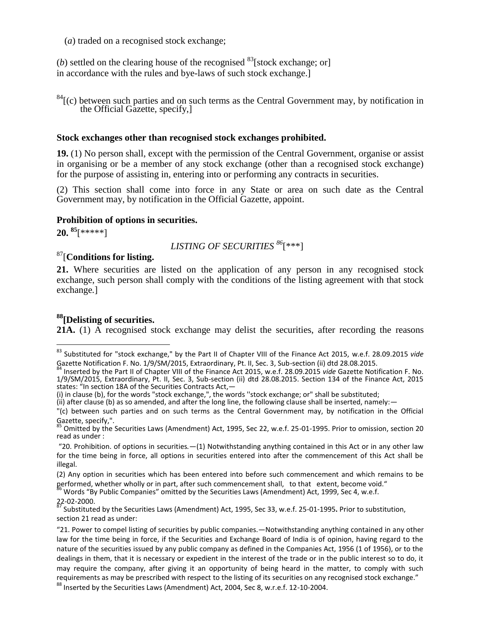(*a*) traded on a recognised stock exchange;

(*b*) settled on the clearing house of the recognised  $^{83}$ [stock exchange; or] in accordance with the rules and bye-laws of such stock exchange.]

 $84$ [(c) between such parties and on such terms as the Central Government may, by notification in the Official Gazette, specify,]

#### **Stock exchanges other than recognised stock exchanges prohibited.**

**19.** (1) No person shall, except with the permission of the Central Government, organise or assist in organising or be a member of any stock exchange (other than a recognised stock exchange) for the purpose of assisting in, entering into or performing any contracts in securities.

(2) This section shall come into force in any State or area on such date as the Central Government may, by notification in the Official Gazette, appoint.

#### **Prohibition of options in securities.**

**20. <sup>85</sup>**[\*\*\*\*\*]

-

*LISTING OF SECURITIES <sup>86</sup>*[\*\*\*]

## <sup>87</sup>[**Conditions for listing.**

**21.** Where securities are listed on the application of any person in any recognised stock exchange, such person shall comply with the conditions of the listing agreement with that stock exchange*.*]

## **<sup>88</sup>[Delisting of securities.**

**21A.** (1) A recognised stock exchange may delist the securities, after recording the reasons

<sup>86</sup> Words "By Public Companies" omitted by the Securities Laws (Amendment) Act, 1999, Sec 4, w.e.f.

# $\frac{22}{87}$ -02-2000.

<sup>87</sup> Substituted by the Securities Laws (Amendment) Act, 1995, Sec 33, w.e.f. 25-01-1995**.** Prior to substitution, section 21 read as under:

<sup>83</sup> Substituted for "stock exchange," by the Part II of Chapter VIII of the Finance Act 2015, w.e.f. 28.09.2015 *vide*  Gazette Notification F. No. 1/9/SM/2015, Extraordinary, Pt. II, Sec. 3, Sub-section (ii) dtd 28.08.2015.

<sup>84</sup> Inserted by the Part II of Chapter VIII of the Finance Act 2015, w.e.f. 28.09.2015 *vide* Gazette Notification F. No. 1/9/SM/2015, Extraordinary, Pt. II, Sec. 3, Sub-section (ii) dtd 28.08.2015. Section 134 of the Finance Act, 2015 states: "In section 18A of the Securities Contracts Act,—

<sup>(</sup>i) in clause (b), for the words "stock exchange,", the words ''stock exchange; or" shall be substituted;

<sup>(</sup>ii) after clause (b) as so amended, and after the long line, the following clause shall be inserted, namely:  $-$ 

<sup>&</sup>quot;(c) between such parties and on such terms as the Central Government may, by notification in the Official Gazette, specify,".

<sup>85</sup> Omitted by the Securities Laws (Amendment) Act, 1995, Sec 22, w.e.f. 25-01-1995. Prior to omission, section 20 read as under :

<sup>&</sup>quot;20. Prohibition. of options in securities*.*—(1) Notwithstanding anything contained in this Act or in any other law for the time being in force, all options in securities entered into after the commencement of this Act shall be illegal.

<sup>(2)</sup> Any option in securities which has been entered into before such commencement and which remains to be performed, whether wholly or in part, after such commencement shall, to that extent, become void."

<sup>&</sup>quot;21. Power to compel listing of securities by public companies.—Notwithstanding anything contained in any other law for the time being in force, if the Securities and Exchange Board of India is of opinion, having regard to the nature of the securities issued by any public company as defined in the Companies Act, 1956 (1 of 1956), or to the dealings in them, that it is necessary or expedient in the interest of the trade or in the public interest so to do, it may require the company, after giving it an opportunity of being heard in the matter, to comply with such requirements as may be prescribed with respect to the listing of its securities on any recognised stock exchange." 88 Inserted by the Securities Laws (Amendment) Act, 2004, Sec 8, w.r.e.f. 12-10-2004.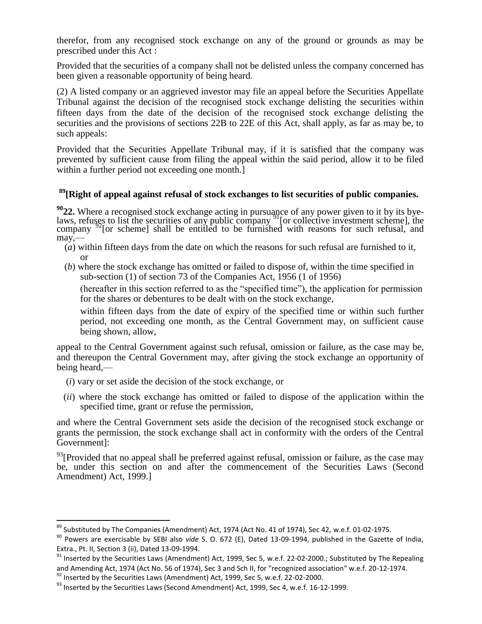therefor, from any recognised stock exchange on any of the ground or grounds as may be prescribed under this Act :

Provided that the securities of a company shall not be delisted unless the company concerned has been given a reasonable opportunity of being heard.

(2) A listed company or an aggrieved investor may file an appeal before the Securities Appellate Tribunal against the decision of the recognised stock exchange delisting the securities within fifteen days from the date of the decision of the recognised stock exchange delisting the securities and the provisions of sections 22B to 22E of this Act, shall apply, as far as may be, to such appeals:

Provided that the Securities Appellate Tribunal may, if it is satisfied that the company was prevented by sufficient cause from filing the appeal within the said period, allow it to be filed within a further period not exceeding one month.]

# **<sup>89</sup>[Right of appeal against refusal of stock exchanges to list securities of public companies.**

<sup>90</sup>22. Where a recognised stock exchange acting in pursuance of any power given to it by its byelaws, refuses to list the securities of any public company <sup>91</sup>[or collective investment scheme], the company <sup>92</sup> [or scheme] shall be entitled to be furnished with reasons for such refusal, and may,—

- (*a*) within fifteen days from the date on which the reasons for such refusal are furnished to it, or
- (*b*) where the stock exchange has omitted or failed to dispose of, within the time specified in sub-section (1) of section 73 of the Companies Act, 1956 (1 of 1956)

(hereafter in this section referred to as the "specified time"), the application for permission for the shares or debentures to be dealt with on the stock exchange,

within fifteen days from the date of expiry of the specified time or within such further period, not exceeding one month, as the Central Government may, on sufficient cause being shown, allow,

appeal to the Central Government against such refusal, omission or failure, as the case may be, and thereupon the Central Government may, after giving the stock exchange an opportunity of being heard,—

- (*i*) vary or set aside the decision of the stock exchange, or
- (*ii*) where the stock exchange has omitted or failed to dispose of the application within the specified time, grant or refuse the permission,

and where the Central Government sets aside the decision of the recognised stock exchange or grants the permission, the stock exchange shall act in conformity with the orders of the Central Government]:

<sup>93</sup>[Provided that no appeal shall be preferred against refusal, omission or failure, as the case may be, under this section on and after the commencement of the Securities Laws (Second Amendment) Act, 1999.]

-

 $^{89}$  Substituted by The Companies (Amendment) Act, 1974 (Act No. 41 of 1974), Sec 42, w.e.f. 01-02-1975.

<sup>90</sup> Powers are exercisable by SEBI also *vide* S. O. 672 (E), Dated 13-09-1994, published in the Gazette of India, Extra., Pt. II, Section 3 (ii), Dated 13-09-1994.

 $91$  Inserted by the Securities Laws (Amendment) Act, 1999, Sec 5, w.e.f. 22-02-2000.; Substituted by The Repealing and Amending Act, 1974 (Act No. 56 of 1974), Sec 3 and Sch II, for "recognized association" w.e.f. 20-12-1974.

 $^{92}$  Inserted by the Securities Laws (Amendment) Act, 1999, Sec 5, w.e.f. 22-02-2000.

<sup>93</sup> Inserted by the Securities Laws (Second Amendment) Act, 1999, Sec 4, w.e.f. 16-12-1999.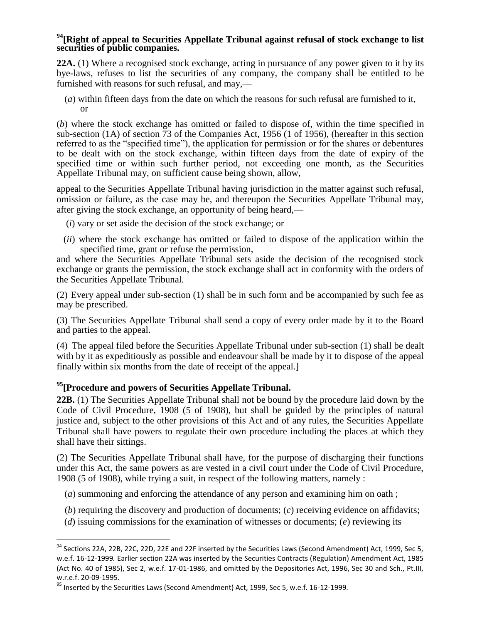#### <sup>94</sup>**[Right of appeal to Securities Appellate Tribunal against refusal of stock exchange to list securities of public companies.**

**22A.** (1) Where a recognised stock exchange, acting in pursuance of any power given to it by its bye-laws, refuses to list the securities of any company, the company shall be entitled to be furnished with reasons for such refusal, and may,—

(*a*) within fifteen days from the date on which the reasons for such refusal are furnished to it, or

(*b*) where the stock exchange has omitted or failed to dispose of, within the time specified in sub-section (1A) of section 73 of the Companies Act, 1956 (1 of 1956), (hereafter in this section referred to as the "specified time"), the application for permission or for the shares or debentures to be dealt with on the stock exchange, within fifteen days from the date of expiry of the specified time or within such further period, not exceeding one month, as the Securities Appellate Tribunal may, on sufficient cause being shown, allow,

appeal to the Securities Appellate Tribunal having jurisdiction in the matter against such refusal, omission or failure, as the case may be, and thereupon the Securities Appellate Tribunal may, after giving the stock exchange, an opportunity of being heard,—

- (*i*) vary or set aside the decision of the stock exchange; or
- (*ii*) where the stock exchange has omitted or failed to dispose of the application within the specified time, grant or refuse the permission,

and where the Securities Appellate Tribunal sets aside the decision of the recognised stock exchange or grants the permission, the stock exchange shall act in conformity with the orders of the Securities Appellate Tribunal.

(2) Every appeal under sub-section (1) shall be in such form and be accompanied by such fee as may be prescribed.

(3) The Securities Appellate Tribunal shall send a copy of every order made by it to the Board and parties to the appeal.

(4) The appeal filed before the Securities Appellate Tribunal under sub-section (1) shall be dealt with by it as expeditiously as possible and endeavour shall be made by it to dispose of the appeal finally within six months from the date of receipt of the appeal.]

# **<sup>95</sup>[Procedure and powers of Securities Appellate Tribunal.**

-

**22B.** (1) The Securities Appellate Tribunal shall not be bound by the procedure laid down by the Code of Civil Procedure, 1908 (5 of 1908), but shall be guided by the principles of natural justice and, subject to the other provisions of this Act and of any rules, the Securities Appellate Tribunal shall have powers to regulate their own procedure including the places at which they shall have their sittings.

(2) The Securities Appellate Tribunal shall have, for the purpose of discharging their functions under this Act, the same powers as are vested in a civil court under the Code of Civil Procedure, 1908 (5 of 1908), while trying a suit, in respect of the following matters, namely :—

- (*a*) summoning and enforcing the attendance of any person and examining him on oath ;
- (*b*) requiring the discovery and production of documents; (*c*) receiving evidence on affidavits;
- (*d*) issuing commissions for the examination of witnesses or documents; (*e*) reviewing its

<sup>&</sup>lt;sup>94</sup> Sections 22A, 22B, 22C, 22D, 22E and 22F inserted by the Securities Laws (Second Amendment) Act, 1999, Sec 5, w.e.f. 16-12-1999*.* Earlier section 22A was inserted by the Securities Contracts (Regulation) Amendment Act, 1985 (Act No. 40 of 1985), Sec 2, w.e.f. 17-01-1986, and omitted by the Depositories Act, 1996, Sec 30 and Sch., Pt.III, w.r.e.f. 20-09-1995.

<sup>95</sup> Inserted by the Securities Laws (Second Amendment) Act, 1999, Sec 5, w.e.f. 16-12-1999*.*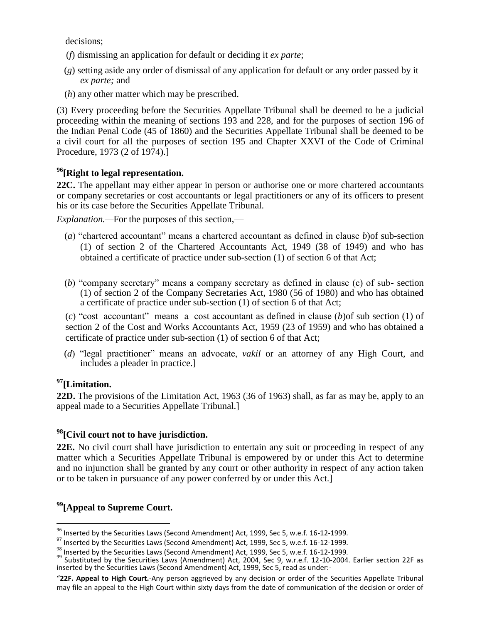decisions;

- (*f*) dismissing an application for default or deciding it *ex parte*;
- (*g*) setting aside any order of dismissal of any application for default or any order passed by it *ex parte;* and
- (*h*) any other matter which may be prescribed.

(3) Every proceeding before the Securities Appellate Tribunal shall be deemed to be a judicial proceeding within the meaning of sections 193 and 228, and for the purposes of section 196 of the Indian Penal Code (45 of 1860) and the Securities Appellate Tribunal shall be deemed to be a civil court for all the purposes of section 195 and Chapter XXVI of the Code of Criminal Procedure, 1973 (2 of 1974).]

# **<sup>96</sup>[Right to legal representation.**

**22C.** The appellant may either appear in person or authorise one or more chartered accountants or company secretaries or cost accountants or legal practitioners or any of its officers to present his or its case before the Securities Appellate Tribunal.

*Explanation.—*For the purposes of this section,—

- (*a*) "chartered accountant" means a chartered accountant as defined in clause *b*)of sub-section (1) of section 2 of the Chartered Accountants Act, 1949 (38 of 1949) and who has obtained a certificate of practice under sub-section (1) of section 6 of that Act;
- (*b*) "company secretary" means a company secretary as defined in clause (c) of sub- section (1) of section 2 of the Company Secretaries Act, 1980 (56 of 1980) and who has obtained a certificate of practice under sub-section (1) of section 6 of that Act;

(*c*) "cost accountant" means a cost accountant as defined in clause (*b*)of sub section (1) of section 2 of the Cost and Works Accountants Act, 1959 (23 of 1959) and who has obtained a certificate of practice under sub-section (1) of section 6 of that Act;

(*d*) "legal practitioner" means an advocate, *vakil* or an attorney of any High Court, and includes a pleader in practice.]

## **<sup>97</sup>[Limitation.**

**22D.** The provisions of the Limitation Act, 1963 (36 of 1963) shall, as far as may be, apply to an appeal made to a Securities Appellate Tribunal.]

# **<sup>98</sup>[Civil court not to have jurisdiction.**

**22E.** No civil court shall have jurisdiction to entertain any suit or proceeding in respect of any matter which a Securities Appellate Tribunal is empowered by or under this Act to determine and no injunction shall be granted by any court or other authority in respect of any action taken or to be taken in pursuance of any power conferred by or under this Act.]

# **<sup>99</sup>[Appeal to Supreme Court.**

<sup>1</sup> <sup>96</sup> Inserted by the Securities Laws (Second Amendment) Act, 1999, Sec 5, w.e.f. 16-12-1999*.*

<sup>97</sup> Inserted by the Securities Laws (Second Amendment) Act, 1999, Sec 5, w.e.f. 16-12-1999*.*

<sup>98</sup> Inserted by the Securities Laws (Second Amendment) Act, 1999, Sec 5, w.e.f. 16-12-1999*.*

 $99$  Substituted by the Securities Laws (Second Amendment) Act, 2004, Sec 9, w.r.e.f. 12-10-2004. Earlier section 22F as inserted by the Securities Laws (Second Amendment) Act, 1999, Sec 5, read as under:-

<sup>&</sup>quot;**22F. Appeal to High Court.**-Any person aggrieved by any decision or order of the Securities Appellate Tribunal may file an appeal to the High Court within sixty days from the date of communication of the decision or order of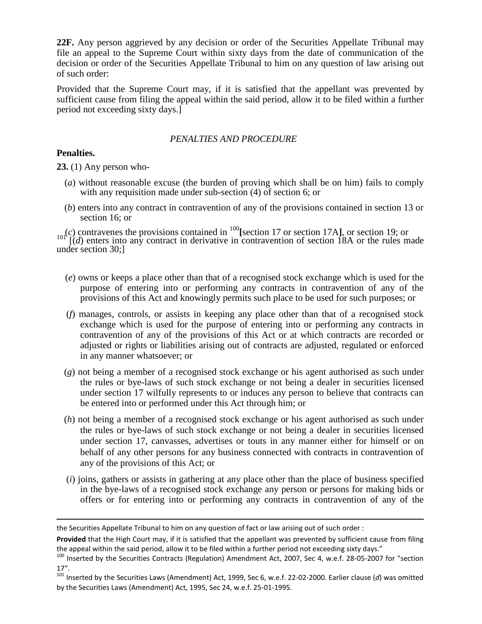**22F.** Any person aggrieved by any decision or order of the Securities Appellate Tribunal may file an appeal to the Supreme Court within sixty days from the date of communication of the decision or order of the Securities Appellate Tribunal to him on any question of law arising out of such order:

Provided that the Supreme Court may, if it is satisfied that the appellant was prevented by sufficient cause from filing the appeal within the said period, allow it to be filed within a further period not exceeding sixty days.]

#### *PENALTIES AND PROCEDURE*

#### **Penalties.**

1

**23.** (1) Any person who-

- (*a*) without reasonable excuse (the burden of proving which shall be on him) fails to comply with any requisition made under sub-section (4) of section 6; or
- (*b*) enters into any contract in contravention of any of the provisions contained in section 13 or section 16; or

 $(c)$  contravenes the provisions contained in  $^{100}$ [section 17 or section 17A], or section 19; or

<sup>101</sup> [(*d*) enters into any contract in derivative in contravention of section 18A or the rules made under section 30;]

- (*e*) owns or keeps a place other than that of a recognised stock exchange which is used for the purpose of entering into or performing any contracts in contravention of any of the provisions of this Act and knowingly permits such place to be used for such purposes; or
- (*f*) manages, controls, or assists in keeping any place other than that of a recognised stock exchange which is used for the purpose of entering into or performing any contracts in contravention of any of the provisions of this Act or at which contracts are recorded or adjusted or rights or liabilities arising out of contracts are adjusted, regulated or enforced in any manner whatsoever; or
- (*g*) not being a member of a recognised stock exchange or his agent authorised as such under the rules or bye-laws of such stock exchange or not being a dealer in securities licensed under section 17 wilfully represents to or induces any person to believe that contracts can be entered into or performed under this Act through him; or
- (*h*) not being a member of a recognised stock exchange or his agent authorised as such under the rules or bye-laws of such stock exchange or not being a dealer in securities licensed under section 17, canvasses, advertises or touts in any manner either for himself or on behalf of any other persons for any business connected with contracts in contravention of any of the provisions of this Act; or
- (*i*) joins, gathers or assists in gathering at any place other than the place of business specified in the bye-laws of a recognised stock exchange any person or persons for making bids or offers or for entering into or performing any contracts in contravention of any of the

the Securities Appellate Tribunal to him on any question of fact or law arising out of such order :

**Provided** that the High Court may, if it is satisfied that the appellant was prevented by sufficient cause from filing the appeal within the said period, allow it to be filed within a further period not exceeding sixty days."

<sup>&</sup>lt;sup>100</sup> Inserted by the Securities Contracts (Regulation) Amendment Act, 2007, Sec 4, w.e.f. 28-05-2007 for "section 17".

<sup>101</sup> Inserted by the Securities Laws (Amendment) Act, 1999, Sec 6, w.e.f. 22-02-2000. Earlier clause (*d*) was omitted by the Securities Laws (Amendment) Act, 1995, Sec 24, w.e.f. 25-01-1995.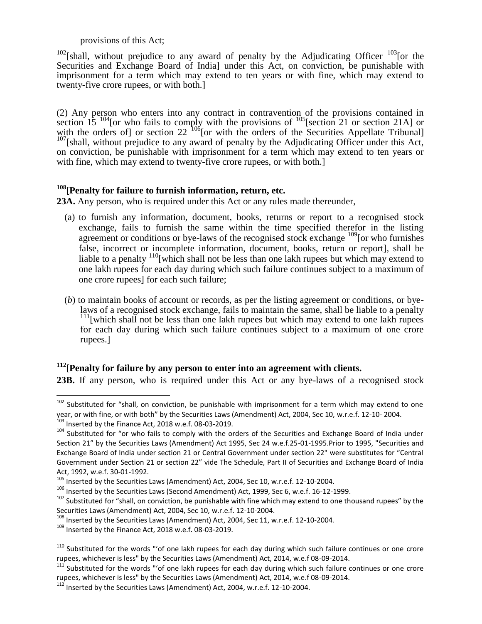provisions of this Act;

 $102$ [shall, without prejudice to any award of penalty by the Adjudicating Officer  $103$ [or the Securities and Exchange Board of India] under this Act, on conviction, be punishable with imprisonment for a term which may extend to ten years or with fine, which may extend to twenty-five crore rupees, or with both.]

(2) Any person who enters into any contract in contravention of the provisions contained in section 15<sup>104</sup>[or who fails to comply with the provisions of <sup>105</sup>[section 21 or section 21A] or with the orders of] or section  $22^{106}$  [or with the orders of the Securities Appellate Tribunal]  $107$ [shall, without prejudice to any award of penalty by the Adjudicating Officer under this Act, on conviction, be punishable with imprisonment for a term which may extend to ten years or with fine, which may extend to twenty-five crore rupees, or with both.

#### **<sup>108</sup>[Penalty for failure to furnish information, return, etc.**

23A. Any person, who is required under this Act or any rules made thereunder,—

- (a) to furnish any information, document, books, returns or report to a recognised stock exchange, fails to furnish the same within the time specified therefor in the listing agreement or conditions or bye-laws of the recognised stock exchange  $109$ [or who furnishes false, incorrect or incomplete information, document, books, return or report], shall be liable to a penalty <sup>110</sup>[which shall not be less than one lakh rupees but which may extend to one lakh rupees for each day during which such failure continues subject to a maximum of one crore rupees] for each such failure;
- (*b*) to maintain books of account or records, as per the listing agreement or conditions, or byelaws of a recognised stock exchange, fails to maintain the same, shall be liable to a penalty  $111$ [which shall not be less than one lakh rupees but which may extend to one lakh rupees for each day during which such failure continues subject to a maximum of one crore rupees.]

## **<sup>112</sup>[Penalty for failure by any person to enter into an agreement with clients.**

**23B.** If any person, who is required under this Act or any bye-laws of a recognised stock

<sup>-</sup><sup>102</sup> Substituted for "shall, on conviction, be punishable with imprisonment for a term which may extend to one year, or with fine, or with both" by the Securities Laws (Amendment) Act, 2004, Sec 10, w.r.e.f. 12-10- 2004. 103 Inserted by the Finance Act, 2018 w.e.f. 08-03-2019.

<sup>&</sup>lt;sup>104</sup> Substituted for "or who fails to comply with the orders of the Securities and Exchange Board of India under Section 21" by the Securities Laws (Amendment) Act 1995, Sec 24 w.e.f.25-01-1995.Prior to 1995, "Securities and Exchange Board of India under section 21 or Central Government under section 22" were substitutes for "Central Government under Section 21 or section 22" vide The Schedule, Part II of Securities and Exchange Board of India Act, 1992, w.e.f. 30-01-1992.

 $105$  Inserted by the Securities Laws (Amendment) Act, 2004, Sec 10, w.r.e.f. 12-10-2004.

<sup>106</sup> Inserted by the Securities Laws (Second Amendment) Act, 1999, Sec 6, w.e.f. 16-12-1999.

<sup>&</sup>lt;sup>107</sup> Substituted for "shall, on conviction, be punishable with fine which may extend to one thousand rupees" by the Securities Laws (Amendment) Act, 2004, Sec 10, w.r.e.f. 12-10-2004.

<sup>108</sup> Inserted by the Securities Laws (Amendment) Act, 2004, Sec 11, w.r.e.f. 12-10-2004*.*

<sup>109</sup> Inserted by the Finance Act, 2018 w.e.f. 08-03-2019.

<sup>&</sup>lt;sup>110</sup> Substituted for the words "'of one lakh rupees for each day during which such failure continues or one crore rupees, whichever is less" by the Securities Laws (Amendment) Act, 2014, w.e.f 08-09-2014.

 $111$  Substituted for the words "'of one lakh rupees for each day during which such failure continues or one crore rupees, whichever is less" by the Securities Laws (Amendment) Act, 2014, w.e.f 08-09-2014.

 $112$  Inserted by the Securities Laws (Amendment) Act, 2004, w.r.e.f. 12-10-2004.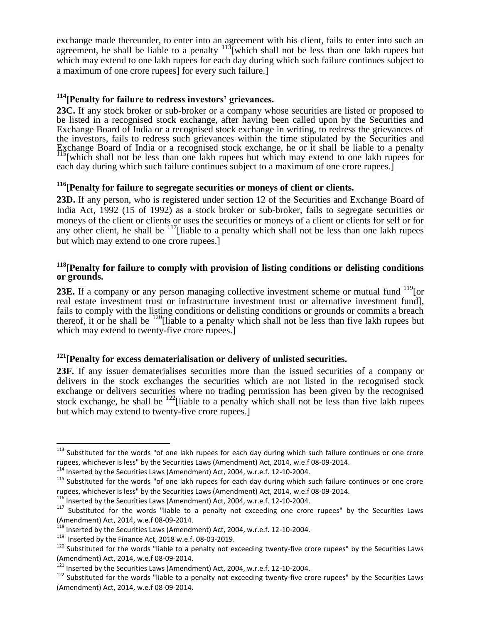exchange made thereunder, to enter into an agreement with his client, fails to enter into such an agreement, he shall be liable to a penalty  $113$  which shall not be less than one lakh rupees but which may extend to one lakh rupees for each day during which such failure continues subject to a maximum of one crore rupees] for every such failure.]

# **<sup>114</sup>[Penalty for failure to redress investors' grievances.**

23C. If any stock broker or sub-broker or a company whose securities are listed or proposed to be listed in a recognised stock exchange, after having been called upon by the Securities and Exchange Board of India or a recognised stock exchange in writing, to redress the grievances of the investors, fails to redress such grievances within the time stipulated by the Securities and Exchange Board of India or a recognised stock exchange, he or it shall be liable to a penalty [which shall not be less than one lakh rupees but which may extend to one lakh rupees for each day during which such failure continues subject to a maximum of one crore rupees.

#### **<sup>116</sup>[Penalty for failure to segregate securities or moneys of client or clients.**

23D. If any person, who is registered under section 12 of the Securities and Exchange Board of India Act, 1992 (15 of 1992) as a stock broker or sub-broker, fails to segregate securities or moneys of the client or clients or uses the securities or moneys of a client or clients for self or for any other client, he shall be  $\frac{117}{11}$  [liable to a penalty which shall not be less than one lakh rupees but which may extend to one crore rupees.]

## **<sup>118</sup>[Penalty for failure to comply with provision of listing conditions or delisting conditions or grounds.**

**23E.** If a company or any person managing collective investment scheme or mutual fund <sup>119</sup>[or real estate investment trust or infrastructure investment trust or alternative investment fund], fails to comply with the listing conditions or delisting conditions or grounds or commits a breach thereof, it or he shall be <sup>120</sup>[liable to a penalty which shall not be less than five lakh rupees but which may extend to twenty-five crore rupees.

# **<sup>121</sup>[Penalty for excess dematerialisation or delivery of unlisted securities.**

23F. If any issuer dematerialises securities more than the issued securities of a company or delivers in the stock exchanges the securities which are not listed in the recognised stock exchange or delivers securities where no trading permission has been given by the recognised stock exchange, he shall be  $^{122}$ [liable to a penalty which shall not be less than five lakh rupees but which may extend to twenty-five crore rupees.]

1

<sup>&</sup>lt;sup>113</sup> Substituted for the words "of one lakh rupees for each day during which such failure continues or one crore rupees, whichever is less" by the Securities Laws (Amendment) Act, 2014, w.e.f 08-09-2014.

 $114$  Inserted by the Securities Laws (Amendment) Act, 2004, w.r.e.f. 12-10-2004.

<sup>&</sup>lt;sup>115</sup> Substituted for the words "of one lakh rupees for each day during which such failure continues or one crore rupees, whichever is less" by the Securities Laws (Amendment) Act, 2014, w.e.f 08-09-2014.

 $116$  Inserted by the Securities Laws (Amendment) Act, 2004, w.r.e.f. 12-10-2004.

<sup>&</sup>lt;sup>117</sup> Substituted for the words "liable to a penalty not exceeding one crore rupees" by the Securities Laws (Amendment) Act, 2014, w.e.f 08-09-2014.

 $^{118}$  Inserted by the Securities Laws (Amendment) Act, 2004, w.r.e.f. 12-10-2004.

 $119$  Inserted by the Finance Act, 2018 w.e.f. 08-03-2019.

<sup>&</sup>lt;sup>120</sup> Substituted for the words "liable to a penalty not exceeding twenty-five crore rupees" by the Securities Laws (Amendment) Act, 2014, w.e.f 08-09-2014.

 $121$  Inserted by the Securities Laws (Amendment) Act, 2004, w.r.e.f. 12-10-2004.

<sup>122</sup> Substituted for the words "liable to a penalty not exceeding twenty-five crore rupees" by the Securities Laws (Amendment) Act, 2014, w.e.f 08-09-2014.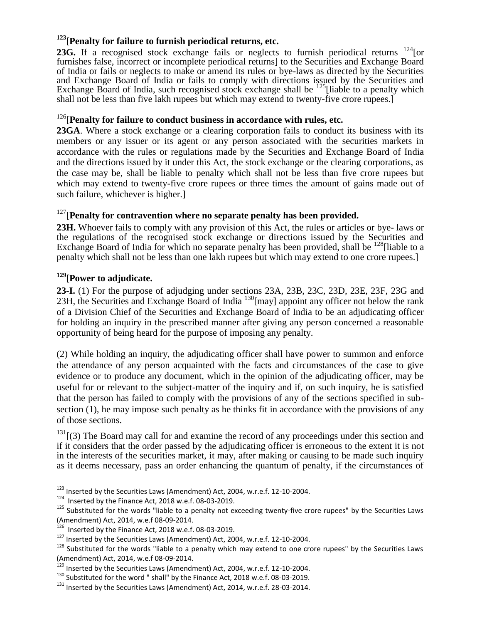## **<sup>123</sup>[Penalty for failure to furnish periodical returns, etc.**

23G. If a recognised stock exchange fails or neglects to furnish periodical returns <sup>124</sup>[or furnishes false, incorrect or incomplete periodical returns] to the Securities and Exchange Board of India or fails or neglects to make or amend its rules or bye-laws as directed by the Securities and Exchange Board of India or fails to comply with directions issued by the Securities and Exchange Board of India, such recognised stock exchange shall be  $\frac{125}{125}$ [liable to a penalty which shall not be less than five lakh rupees but which may extend to twenty-five crore rupees.]

## <sup>126</sup>[**Penalty for failure to conduct business in accordance with rules, etc.**

**23GA**. Where a stock exchange or a clearing corporation fails to conduct its business with its members or any issuer or its agent or any person associated with the securities markets in accordance with the rules or regulations made by the Securities and Exchange Board of India and the directions issued by it under this Act, the stock exchange or the clearing corporations, as the case may be, shall be liable to penalty which shall not be less than five crore rupees but which may extend to twenty-five crore rupees or three times the amount of gains made out of such failure, whichever is higher.]

## <sup>127</sup>[**Penalty for contravention where no separate penalty has been provided.**

**23H.** Whoever fails to comply with any provision of this Act, the rules or articles or bye- laws or the regulations of the recognised stock exchange or directions issued by the Securities and Exchange Board of India for which no separate penalty has been provided, shall be  $^{128}$ [liable to a penalty which shall not be less than one lakh rupees but which may extend to one crore rupees.]

## **<sup>129</sup>[Power to adjudicate.**

**23-I.** (1) For the purpose of adjudging under sections 23A, 23B, 23C, 23D, 23E, 23F, 23G and 23H, the Securities and Exchange Board of India <sup>130</sup>[may] appoint any officer not below the rank of a Division Chief of the Securities and Exchange Board of India to be an adjudicating officer for holding an inquiry in the prescribed manner after giving any person concerned a reasonable opportunity of being heard for the purpose of imposing any penalty.

(2) While holding an inquiry, the adjudicating officer shall have power to summon and enforce the attendance of any person acquainted with the facts and circumstances of the case to give evidence or to produce any document, which in the opinion of the adjudicating officer, may be useful for or relevant to the subject-matter of the inquiry and if, on such inquiry, he is satisfied that the person has failed to comply with the provisions of any of the sections specified in subsection (1), he may impose such penalty as he thinks fit in accordance with the provisions of any of those sections.

 $131$ [(3) The Board may call for and examine the record of any proceedings under this section and if it considers that the order passed by the adjudicating officer is erroneous to the extent it is not in the interests of the securities market, it may, after making or causing to be made such inquiry as it deems necessary, pass an order enhancing the quantum of penalty, if the circumstances of

<sup>1</sup>  $123$  Inserted by the Securities Laws (Amendment) Act, 2004, w.r.e.f. 12-10-2004.

 $124$  Inserted by the Finance Act, 2018 w.e.f. 08-03-2019.

<sup>&</sup>lt;sup>125</sup> Substituted for the words "liable to a penalty not exceeding twenty-five crore rupees" by the Securities Laws

<sup>(</sup>Amendment) Act, 2014, w.e.f 08-09-2014. 126 Inserted by the Finance Act, 2018 w.e.f. 08-03-2019.

<sup>127</sup> Inserted by the Securities Laws (Amendment) Act, 2004, w.r.e.f. 12-10-2004.

<sup>&</sup>lt;sup>128</sup> Substituted for the words "liable to a penalty which may extend to one crore rupees" by the Securities Laws (Amendment) Act, 2014, w.e.f 08-09-2014.

 $129$  Inserted by the Securities Laws (Amendment) Act, 2004, w.r.e.f. 12-10-2004.

<sup>130</sup> Substituted for the word " shall" by the Finance Act, 2018 w.e.f. 08-03-2019.

<sup>&</sup>lt;sup>131</sup> Inserted by the Securities Laws (Amendment) Act, 2014, w.r.e.f. 28-03-2014.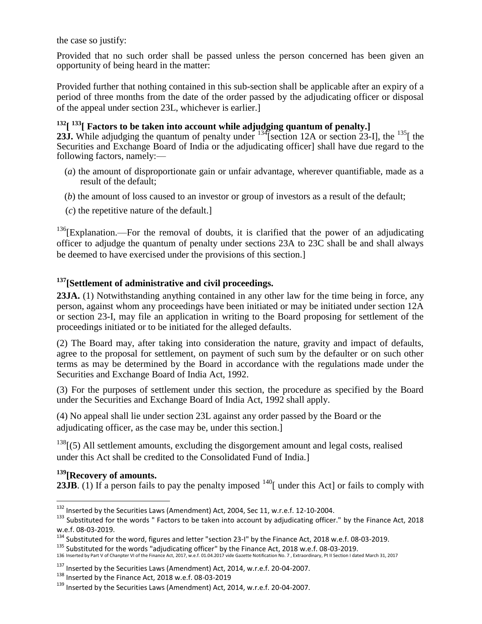the case so justify:

Provided that no such order shall be passed unless the person concerned has been given an opportunity of being heard in the matter:

Provided further that nothing contained in this sub-section shall be applicable after an expiry of a period of three months from the date of the order passed by the adjudicating officer or disposal of the appeal under section 23L, whichever is earlier.]

## **<sup>132</sup>[ <sup>133</sup>[ Factors to be taken into account while adjudging quantum of penalty.]**

**23J.** While adjudging the quantum of penalty under <sup>134</sup>[section 12A or section 23-I], the <sup>135</sup>[ the Securities and Exchange Board of India or the adjudicating officer] shall have due regard to the following factors, namely:—

- (*a*) the amount of disproportionate gain or unfair advantage, wherever quantifiable, made as a result of the default;
- (*b*) the amount of loss caused to an investor or group of investors as a result of the default;
- (*c*) the repetitive nature of the default.]

 $136$ [Explanation.—For the removal of doubts, it is clarified that the power of an adjudicating officer to adjudge the quantum of penalty under sections 23A to 23C shall be and shall always be deemed to have exercised under the provisions of this section.]

# **<sup>137</sup>[Settlement of administrative and civil proceedings.**

23JA. (1) Notwithstanding anything contained in any other law for the time being in force, any person, against whom any proceedings have been initiated or may be initiated under section 12A or section 23-I, may file an application in writing to the Board proposing for settlement of the proceedings initiated or to be initiated for the alleged defaults.

(2) The Board may, after taking into consideration the nature, gravity and impact of defaults, agree to the proposal for settlement, on payment of such sum by the defaulter or on such other terms as may be determined by the Board in accordance with the regulations made under the Securities and Exchange Board of India Act, 1992.

(3) For the purposes of settlement under this section, the procedure as specified by the Board under the Securities and Exchange Board of India Act, 1992 shall apply.

(4) No appeal shall lie under section 23L against any order passed by the Board or the adjudicating officer, as the case may be, under this section.]

 $138$ [(5) All settlement amounts, excluding the disgorgement amount and legal costs, realised under this Act shall be credited to the Consolidated Fund of India.]

# **<sup>139</sup>[Recovery of amounts.**

1

**23JB.** (1) If a person fails to pay the penalty imposed  $140$ [ under this Act] or fails to comply with

 $132$  Inserted by the Securities Laws (Amendment) Act, 2004, Sec 11, w.r.e.f. 12-10-2004.

<sup>&</sup>lt;sup>133</sup> Substituted for the words " Factors to be taken into account by adjudicating officer." by the Finance Act, 2018 w.e.f. 08-03-2019.

<sup>&</sup>lt;sup>134</sup> Substituted for the word, figures and letter "section 23-I" by the Finance Act, 2018 w.e.f. 08-03-2019.

<sup>&</sup>lt;sup>135</sup> Substituted for the words "adjudicating officer" by the Finance Act, 2018 w.e.f. 08-03-2019.<br>136 Inserted by Part V of Chanpter VI of the Finance Act, 2017, w.e.f. 01.04.2017 vide Gazette Notification No. 7, Extraord

<sup>137</sup> Inserted by the Securities Laws (Amendment) Act, 2014, w.r.e.f. 20-04-2007.

<sup>138</sup> Inserted by the Finance Act, 2018 w.e.f. 08-03-2019

<sup>&</sup>lt;sup>139</sup> Inserted by the Securities Laws (Amendment) Act, 2014, w.r.e.f. 20-04-2007.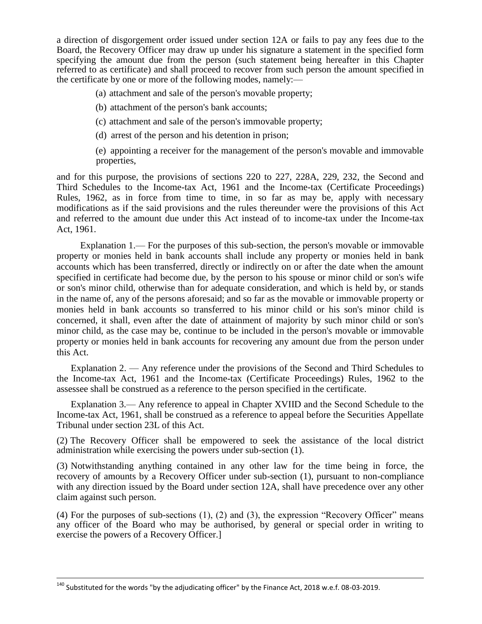a direction of disgorgement order issued under section 12A or fails to pay any fees due to the Board, the Recovery Officer may draw up under his signature a statement in the specified form specifying the amount due from the person (such statement being hereafter in this Chapter referred to as certificate) and shall proceed to recover from such person the amount specified in the certificate by one or more of the following modes, namely:—

(a) attachment and sale of the person's movable property;

- (b) attachment of the person's bank accounts;
- (c) attachment and sale of the person's immovable property;
- (d) arrest of the person and his detention in prison;
- (e) appointing a receiver for the management of the person's movable and immovable properties,

and for this purpose, the provisions of sections 220 to 227, 228A, 229, 232, the Second and Third Schedules to the Income-tax Act, 1961 and the Income-tax (Certificate Proceedings) Rules, 1962, as in force from time to time, in so far as may be, apply with necessary modifications as if the said provisions and the rules thereunder were the provisions of this Act and referred to the amount due under this Act instead of to income-tax under the Income-tax Act, 1961.

Explanation 1.— For the purposes of this sub-section, the person's movable or immovable property or monies held in bank accounts shall include any property or monies held in bank accounts which has been transferred, directly or indirectly on or after the date when the amount specified in certificate had become due, by the person to his spouse or minor child or son's wife or son's minor child, otherwise than for adequate consideration, and which is held by, or stands in the name of, any of the persons aforesaid; and so far as the movable or immovable property or monies held in bank accounts so transferred to his minor child or his son's minor child is concerned, it shall, even after the date of attainment of majority by such minor child or son's minor child, as the case may be, continue to be included in the person's movable or immovable property or monies held in bank accounts for recovering any amount due from the person under this Act.

Explanation 2. — Any reference under the provisions of the Second and Third Schedules to the Income-tax Act, 1961 and the Income-tax (Certificate Proceedings) Rules, 1962 to the assessee shall be construed as a reference to the person specified in the certificate.

Explanation 3.— Any reference to appeal in Chapter XVIID and the Second Schedule to the Income-tax Act, 1961, shall be construed as a reference to appeal before the Securities Appellate Tribunal under section 23L of this Act.

(2) The Recovery Officer shall be empowered to seek the assistance of the local district administration while exercising the powers under sub-section (1).

(3) Notwithstanding anything contained in any other law for the time being in force, the recovery of amounts by a Recovery Officer under sub-section (1), pursuant to non-compliance with any direction issued by the Board under section 12A, shall have precedence over any other claim against such person.

(4) For the purposes of sub-sections  $(1)$ ,  $(2)$  and  $(3)$ , the expression "Recovery Officer" means any officer of the Board who may be authorised, by general or special order in writing to exercise the powers of a Recovery Officer.]

**.** 

<sup>140</sup> Substituted for the words "by the adjudicating officer" by the Finance Act, 2018 w.e.f. 08-03-2019.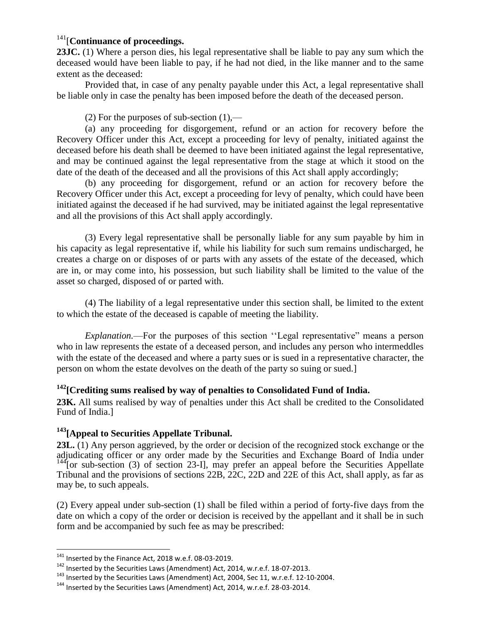## <sup>141</sup>[**Continuance of proceedings.**

**23JC.** (1) Where a person dies, his legal representative shall be liable to pay any sum which the deceased would have been liable to pay, if he had not died, in the like manner and to the same extent as the deceased:

Provided that, in case of any penalty payable under this Act, a legal representative shall be liable only in case the penalty has been imposed before the death of the deceased person.

(2) For the purposes of sub-section  $(1)$ ,—

(a) any proceeding for disgorgement, refund or an action for recovery before the Recovery Officer under this Act, except a proceeding for levy of penalty, initiated against the deceased before his death shall be deemed to have been initiated against the legal representative, and may be continued against the legal representative from the stage at which it stood on the date of the death of the deceased and all the provisions of this Act shall apply accordingly;

(b) any proceeding for disgorgement, refund or an action for recovery before the Recovery Officer under this Act, except a proceeding for levy of penalty, which could have been initiated against the deceased if he had survived, may be initiated against the legal representative and all the provisions of this Act shall apply accordingly.

(3) Every legal representative shall be personally liable for any sum payable by him in his capacity as legal representative if, while his liability for such sum remains undischarged, he creates a charge on or disposes of or parts with any assets of the estate of the deceased, which are in, or may come into, his possession, but such liability shall be limited to the value of the asset so charged, disposed of or parted with.

(4) The liability of a legal representative under this section shall, be limited to the extent to which the estate of the deceased is capable of meeting the liability.

*Explanation.*—For the purposes of this section ''Legal representative" means a person who in law represents the estate of a deceased person, and includes any person who intermeddles with the estate of the deceased and where a party sues or is sued in a representative character, the person on whom the estate devolves on the death of the party so suing or sued.]

## **<sup>142</sup>[Crediting sums realised by way of penalties to Consolidated Fund of India.**

23K. All sums realised by way of penalties under this Act shall be credited to the Consolidated Fund of India.]

## **<sup>143</sup>[Appeal to Securities Appellate Tribunal.**

**23L.** (1) Any person aggrieved, by the order or decision of the recognized stock exchange or the adjudicating officer or any order made by the Securities and Exchange Board of India under  $144$ [or sub-section (3) of section 23-I], may prefer an appeal before the Securities Appellate Tribunal and the provisions of sections 22B, 22C, 22D and 22E of this Act, shall apply, as far as may be, to such appeals.

(2) Every appeal under sub-section (1) shall be filed within a period of forty-five days from the date on which a copy of the order or decision is received by the appellant and it shall be in such form and be accompanied by such fee as may be prescribed:

1

 $141$  Inserted by the Finance Act, 2018 w.e.f. 08-03-2019.

<sup>142</sup> Inserted by the Securities Laws (Amendment) Act, 2014, w.r.e.f. 18-07-2013.

<sup>&</sup>lt;sup>143</sup> Inserted by the Securities Laws (Amendment) Act, 2004, Sec 11, w.r.e.f. 12-10-2004.

<sup>144</sup> Inserted by the Securities Laws (Amendment) Act, 2014, w.r.e.f. 28-03-2014.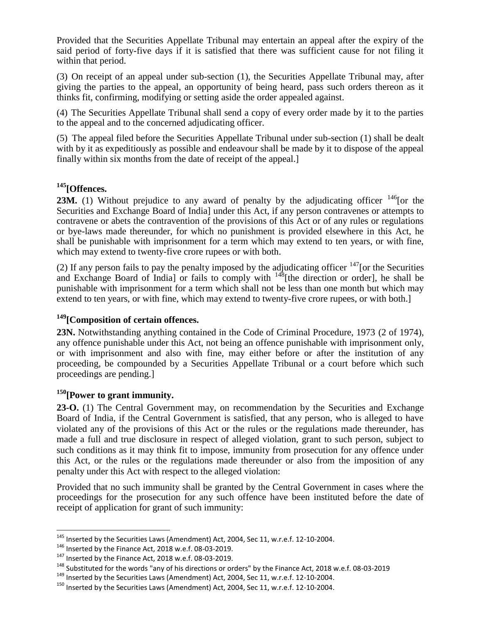Provided that the Securities Appellate Tribunal may entertain an appeal after the expiry of the said period of forty-five days if it is satisfied that there was sufficient cause for not filing it within that period.

(3) On receipt of an appeal under sub-section (1), the Securities Appellate Tribunal may, after giving the parties to the appeal, an opportunity of being heard, pass such orders thereon as it thinks fit, confirming, modifying or setting aside the order appealed against.

(4) The Securities Appellate Tribunal shall send a copy of every order made by it to the parties to the appeal and to the concerned adjudicating officer.

(5) The appeal filed before the Securities Appellate Tribunal under sub-section (1) shall be dealt with by it as expeditiously as possible and endeavour shall be made by it to dispose of the appeal finally within six months from the date of receipt of the appeal.]

## **<sup>145</sup>[Offences.**

**23M.** (1) Without prejudice to any award of penalty by the adjudicating officer <sup>146</sup>[or the Securities and Exchange Board of Indial under this Act, if any person contravenes or attempts to contravene or abets the contravention of the provisions of this Act or of any rules or regulations or bye-laws made thereunder, for which no punishment is provided elsewhere in this Act, he shall be punishable with imprisonment for a term which may extend to ten years, or with fine, which may extend to twenty-five crore rupees or with both.

(2) If any person fails to pay the penalty imposed by the adjudicating officer  $147$  [or the Securities and Exchange Board of India] or fails to comply with  $148$  [the direction or order], he shall be punishable with imprisonment for a term which shall not be less than one month but which may extend to ten years, or with fine, which may extend to twenty-five crore rupees, or with both.]

## **<sup>149</sup>[Composition of certain offences.**

**23N.** Notwithstanding anything contained in the Code of Criminal Procedure, 1973 (2 of 1974), any offence punishable under this Act, not being an offence punishable with imprisonment only, or with imprisonment and also with fine, may either before or after the institution of any proceeding, be compounded by a Securities Appellate Tribunal or a court before which such proceedings are pending.]

# **<sup>150</sup>[Power to grant immunity.**

1

23-O. (1) The Central Government may, on recommendation by the Securities and Exchange Board of India, if the Central Government is satisfied, that any person, who is alleged to have violated any of the provisions of this Act or the rules or the regulations made thereunder, has made a full and true disclosure in respect of alleged violation, grant to such person, subject to such conditions as it may think fit to impose, immunity from prosecution for any offence under this Act, or the rules or the regulations made thereunder or also from the imposition of any penalty under this Act with respect to the alleged violation:

Provided that no such immunity shall be granted by the Central Government in cases where the proceedings for the prosecution for any such offence have been instituted before the date of receipt of application for grant of such immunity:

 $145$  Inserted by the Securities Laws (Amendment) Act, 2004, Sec 11, w.r.e.f. 12-10-2004.

<sup>146</sup> Inserted by the Finance Act, 2018 w.e.f. 08-03-2019.

<sup>&</sup>lt;sup>147</sup> Inserted by the Finance Act, 2018 w.e.f. 08-03-2019.

<sup>&</sup>lt;sup>148</sup> Substituted for the words "any of his directions or orders" by the Finance Act, 2018 w.e.f. 08-03-2019

<sup>&</sup>lt;sup>149</sup> Inserted by the Securities Laws (Amendment) Act, 2004, Sec 11, w.r.e.f. 12-10-2004.

<sup>&</sup>lt;sup>150</sup> Inserted by the Securities Laws (Amendment) Act, 2004, Sec 11, w.r.e.f. 12-10-2004.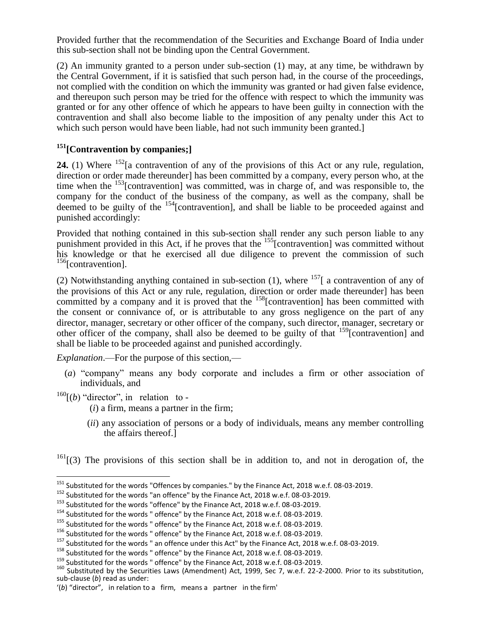Provided further that the recommendation of the Securities and Exchange Board of India under this sub-section shall not be binding upon the Central Government.

(2) An immunity granted to a person under sub-section (1) may, at any time, be withdrawn by the Central Government, if it is satisfied that such person had, in the course of the proceedings, not complied with the condition on which the immunity was granted or had given false evidence, and thereupon such person may be tried for the offence with respect to which the immunity was granted or for any other offence of which he appears to have been guilty in connection with the contravention and shall also become liable to the imposition of any penalty under this Act to which such person would have been liable, had not such immunity been granted.

## **<sup>151</sup>[Contravention by companies;]**

**24.** (1) Where <sup>152</sup>[a contravention of any of the provisions of this Act or any rule, regulation, direction or order made thereunder] has been committed by a company, every person who, at the time when the <sup>153</sup>[contravention] was committed, was in charge of, and was responsible to, the company for the conduct of the business of the company, as well as the company, shall be deemed to be guilty of the  $154$ [contravention], and shall be liable to be proceeded against and punished accordingly:

Provided that nothing contained in this sub-section shall render any such person liable to any punishment provided in this Act, if he proves that the  $^{155}$ [contravention] was committed without his knowledge or that he exercised all due diligence to prevent the commission of such <sup>156</sup>[contravention].

(2) Notwithstanding anything contained in sub-section (1), where  $157$ [ a contravention of any of the provisions of this Act or any rule, regulation, direction or order made thereunder] has been committed by a company and it is proved that the <sup>158</sup>[contravention] has been committed with the consent or connivance of, or is attributable to any gross negligence on the part of any director, manager, secretary or other officer of the company, such director, manager, secretary or other officer of the company, shall also be deemed to be guilty of that  $159$ [contravention] and shall be liable to be proceeded against and punished accordingly.

*Explanation*.—For the purpose of this section,—

- (*a*) "company" means any body corporate and includes a firm or other association of individuals, and
- $^{160}$ [(*b*) "director", in relation to -

-

- (*i*) a firm, means a partner in the firm;
- (*ii*) any association of persons or a body of individuals, means any member controlling the affairs thereof.]

 $161$ [(3) The provisions of this section shall be in addition to, and not in derogation of, the

<sup>&</sup>lt;sup>151</sup> Substituted for the words "Offences by companies." by the Finance Act, 2018 w.e.f. 08-03-2019.

<sup>152</sup> Substituted for the words "an offence" by the Finance Act, 2018 w.e.f. 08-03-2019.

<sup>153</sup> Substituted for the words "offence" by the Finance Act, 2018 w.e.f. 08-03-2019.

<sup>154</sup> Substituted for the words " offence" by the Finance Act, 2018 w.e.f. 08-03-2019.

<sup>155</sup> Substituted for the words " offence" by the Finance Act, 2018 w.e.f. 08-03-2019.

<sup>156</sup> Substituted for the words " offence" by the Finance Act, 2018 w.e.f. 08-03-2019.

<sup>157</sup> Substituted for the words " an offence under this Act" by the Finance Act, 2018 w.e.f. 08-03-2019.

<sup>158</sup> Substituted for the words " offence" by the Finance Act, 2018 w.e.f. 08-03-2019.

<sup>159</sup> Substituted for the words " offence" by the Finance Act, 2018 w.e.f. 08-03-2019.

<sup>160</sup> Substituted by the Securities Laws (Amendment) Act, 1999, Sec 7, w.e.f. 22-2-2000. Prior to its substitution, sub-clause (*b*) read as under:

<sup>&#</sup>x27;(*b*) "director", in relation to a firm, means a partner in the firm'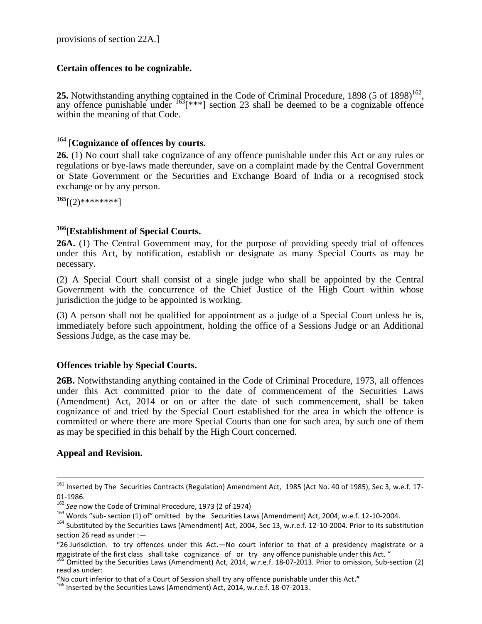provisions of section 22A.]

## **Certain offences to be cognizable.**

**25.** Notwithstanding anything contained in the Code of Criminal Procedure, 1898  $(5 \text{ of } 1898)^{162}$ , any offence punishable under  $163$ [\*\*\*] section 23 shall be deemed to be a cognizable offence within the meaning of that Code.

# <sup>164</sup> [**Cognizance of offences by courts.**

**26.** (1) No court shall take cognizance of any offence punishable under this Act or any rules or regulations or bye-laws made thereunder, save on a complaint made by the Central Government or State Government or the Securities and Exchange Board of India or a recognised stock exchange or by any person.

**<sup>165</sup>[**(2)\*\*\*\*\*\*\*\*]

## **<sup>166</sup>[Establishment of Special Courts.**

26A. (1) The Central Government may, for the purpose of providing speedy trial of offences under this Act, by notification, establish or designate as many Special Courts as may be necessary.

(2) A Special Court shall consist of a single judge who shall be appointed by the Central Government with the concurrence of the Chief Justice of the High Court within whose jurisdiction the judge to be appointed is working.

(3) A person shall not be qualified for appointment as a judge of a Special Court unless he is, immediately before such appointment, holding the office of a Sessions Judge or an Additional Sessions Judge, as the case may be.

#### **Offences triable by Special Courts.**

**26B.** Notwithstanding anything contained in the Code of Criminal Procedure, 1973, all offences under this Act committed prior to the date of commencement of the Securities Laws (Amendment) Act, 2014 or on or after the date of such commencement, shall be taken cognizance of and tried by the Special Court established for the area in which the offence is committed or where there are more Special Courts than one for such area, by such one of them as may be specified in this behalf by the High Court concerned.

## **Appeal and Revision.**

1

<sup>&</sup>lt;sup>161</sup> Inserted by The Securities Contracts (Regulation) Amendment Act, 1985 (Act No. 40 of 1985), Sec 3, w.e.f. 17-01-1986.

<sup>162</sup> *See* now the Code of Criminal Procedure, 1973 (2 of 1974)

<sup>163</sup> Words "sub- section (1) of" omitted by the Securities Laws (Amendment) Act, 2004, w.e.f. 12-10-2004.

<sup>&</sup>lt;sup>164</sup> Substituted by the Securities Laws (Amendment) Act, 2004, Sec 13, w.r.e.f. 12-10-2004. Prior to its substitution section 26 read as under :—

<sup>&</sup>quot;26 Jurisdiction. to try offences under this Act.—No court inferior to that of a presidency magistrate or a magistrate of the first class shall take cognizance of or try any offence punishable under this Act. "

Omitted by the Securities Laws (Amendment) Act, 2014, w.r.e.f. 18-07-2013. Prior to omission, Sub-section (2) read as under:

**<sup>&</sup>quot;**No court inferior to that of a Court of Session shall try any offence punishable under this Act**."**

<sup>166</sup> Inserted by the Securities Laws (Amendment) Act, 2014, w.r.e.f. 18-07-2013.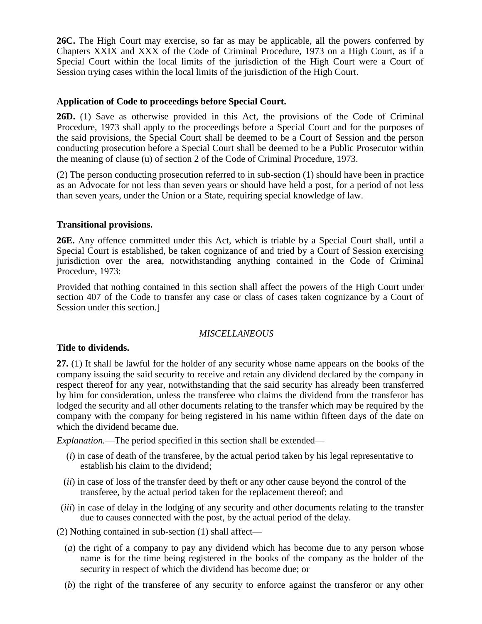**26C.** The High Court may exercise, so far as may be applicable, all the powers conferred by Chapters XXIX and XXX of the Code of Criminal Procedure, 1973 on a High Court, as if a Special Court within the local limits of the jurisdiction of the High Court were a Court of Session trying cases within the local limits of the jurisdiction of the High Court.

## **Application of Code to proceedings before Special Court.**

**26D.** (1) Save as otherwise provided in this Act, the provisions of the Code of Criminal Procedure, 1973 shall apply to the proceedings before a Special Court and for the purposes of the said provisions, the Special Court shall be deemed to be a Court of Session and the person conducting prosecution before a Special Court shall be deemed to be a Public Prosecutor within the meaning of clause (u) of section 2 of the Code of Criminal Procedure, 1973.

(2) The person conducting prosecution referred to in sub-section (1) should have been in practice as an Advocate for not less than seven years or should have held a post, for a period of not less than seven years, under the Union or a State, requiring special knowledge of law.

#### **Transitional provisions.**

**26E.** Any offence committed under this Act, which is triable by a Special Court shall, until a Special Court is established, be taken cognizance of and tried by a Court of Session exercising jurisdiction over the area, notwithstanding anything contained in the Code of Criminal Procedure, 1973:

Provided that nothing contained in this section shall affect the powers of the High Court under section 407 of the Code to transfer any case or class of cases taken cognizance by a Court of Session under this section.]

## *MISCELLANEOUS*

#### **Title to dividends.**

**27.** (1) It shall be lawful for the holder of any security whose name appears on the books of the company issuing the said security to receive and retain any dividend declared by the company in respect thereof for any year, notwithstanding that the said security has already been transferred by him for consideration, unless the transferee who claims the dividend from the transferor has lodged the security and all other documents relating to the transfer which may be required by the company with the company for being registered in his name within fifteen days of the date on which the dividend became due.

*Explanation.*—The period specified in this section shall be extended—

- (*i*) in case of death of the transferee, by the actual period taken by his legal representative to establish his claim to the dividend;
- (*ii*) in case of loss of the transfer deed by theft or any other cause beyond the control of the transferee, by the actual period taken for the replacement thereof; and
- (*iii*) in case of delay in the lodging of any security and other documents relating to the transfer due to causes connected with the post, by the actual period of the delay.

(2) Nothing contained in sub-section (1) shall affect—

- (*a*) the right of a company to pay any dividend which has become due to any person whose name is for the time being registered in the books of the company as the holder of the security in respect of which the dividend has become due; or
- (*b*) the right of the transferee of any security to enforce against the transferor or any other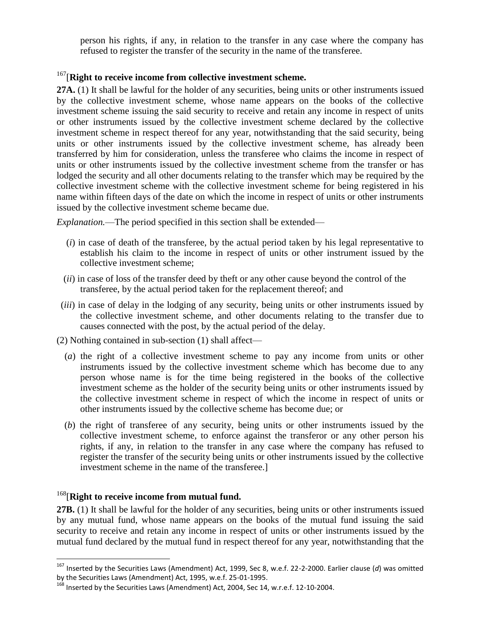person his rights, if any, in relation to the transfer in any case where the company has refused to register the transfer of the security in the name of the transferee.

## <sup>167</sup>[**Right to receive income from collective investment scheme.**

**27A.** (1) It shall be lawful for the holder of any securities, being units or other instruments issued by the collective investment scheme, whose name appears on the books of the collective investment scheme issuing the said security to receive and retain any income in respect of units or other instruments issued by the collective investment scheme declared by the collective investment scheme in respect thereof for any year, notwithstanding that the said security, being units or other instruments issued by the collective investment scheme, has already been transferred by him for consideration, unless the transferee who claims the income in respect of units or other instruments issued by the collective investment scheme from the transfer or has lodged the security and all other documents relating to the transfer which may be required by the collective investment scheme with the collective investment scheme for being registered in his name within fifteen days of the date on which the income in respect of units or other instruments issued by the collective investment scheme became due.

*Explanation.*—The period specified in this section shall be extended—

- (*i*) in case of death of the transferee, by the actual period taken by his legal representative to establish his claim to the income in respect of units or other instrument issued by the collective investment scheme;
- (*ii*) in case of loss of the transfer deed by theft or any other cause beyond the control of the transferee, by the actual period taken for the replacement thereof; and
- (*iii*) in case of delay in the lodging of any security, being units or other instruments issued by the collective investment scheme, and other documents relating to the transfer due to causes connected with the post, by the actual period of the delay.

(2) Nothing contained in sub-section (1) shall affect—

- (*a*) the right of a collective investment scheme to pay any income from units or other instruments issued by the collective investment scheme which has become due to any person whose name is for the time being registered in the books of the collective investment scheme as the holder of the security being units or other instruments issued by the collective investment scheme in respect of which the income in respect of units or other instruments issued by the collective scheme has become due; or
- (*b*) the right of transferee of any security, being units or other instruments issued by the collective investment scheme, to enforce against the transferor or any other person his rights, if any, in relation to the transfer in any case where the company has refused to register the transfer of the security being units or other instruments issued by the collective investment scheme in the name of the transferee.]

## <sup>168</sup>[**Right to receive income from mutual fund.**

**.** 

**27B.** (1) It shall be lawful for the holder of any securities, being units or other instruments issued by any mutual fund, whose name appears on the books of the mutual fund issuing the said security to receive and retain any income in respect of units or other instruments issued by the mutual fund declared by the mutual fund in respect thereof for any year, notwithstanding that the

<sup>167</sup> Inserted by the Securities Laws (Amendment) Act, 1999, Sec 8, w.e.f. 22-2-2000. Earlier clause (*d*) was omitted by the Securities Laws (Amendment) Act, 1995, w.e.f. 25-01-1995.

<sup>&</sup>lt;sup>168</sup> Inserted by the Securities Laws (Amendment) Act, 2004, Sec 14, w.r.e.f. 12-10-2004.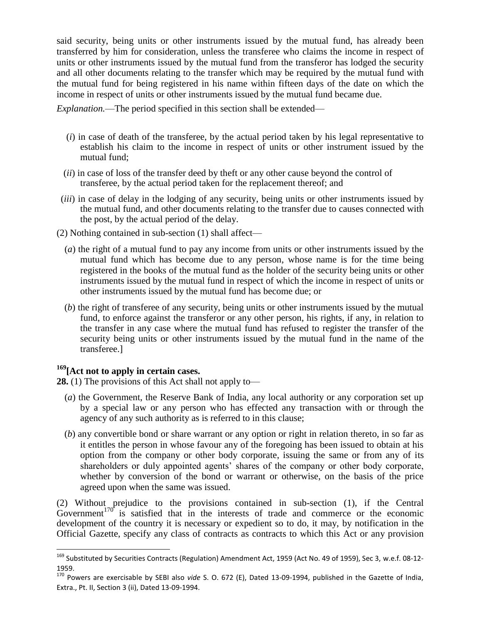said security, being units or other instruments issued by the mutual fund, has already been transferred by him for consideration, unless the transferee who claims the income in respect of units or other instruments issued by the mutual fund from the transferor has lodged the security and all other documents relating to the transfer which may be required by the mutual fund with the mutual fund for being registered in his name within fifteen days of the date on which the income in respect of units or other instruments issued by the mutual fund became due.

*Explanation.*—The period specified in this section shall be extended—

- (*i*) in case of death of the transferee, by the actual period taken by his legal representative to establish his claim to the income in respect of units or other instrument issued by the mutual fund;
- (*ii*) in case of loss of the transfer deed by theft or any other cause beyond the control of transferee, by the actual period taken for the replacement thereof; and
- (*iii*) in case of delay in the lodging of any security, being units or other instruments issued by the mutual fund, and other documents relating to the transfer due to causes connected with the post, by the actual period of the delay.
- (2) Nothing contained in sub-section (1) shall affect—
	- (*a*) the right of a mutual fund to pay any income from units or other instruments issued by the mutual fund which has become due to any person, whose name is for the time being registered in the books of the mutual fund as the holder of the security being units or other instruments issued by the mutual fund in respect of which the income in respect of units or other instruments issued by the mutual fund has become due; or
	- (*b*) the right of transferee of any security, being units or other instruments issued by the mutual fund, to enforce against the transferor or any other person, his rights, if any, in relation to the transfer in any case where the mutual fund has refused to register the transfer of the security being units or other instruments issued by the mutual fund in the name of the transferee.]

## **<sup>169</sup>[Act not to apply in certain cases.**

1

**28.** (1) The provisions of this Act shall not apply to—

- (*a*) the Government, the Reserve Bank of India, any local authority or any corporation set up by a special law or any person who has effected any transaction with or through the agency of any such authority as is referred to in this clause;
- (*b*) any convertible bond or share warrant or any option or right in relation thereto, in so far as it entitles the person in whose favour any of the foregoing has been issued to obtain at his option from the company or other body corporate, issuing the same or from any of its shareholders or duly appointed agents' shares of the company or other body corporate, whether by conversion of the bond or warrant or otherwise, on the basis of the price agreed upon when the same was issued.

(2) Without prejudice to the provisions contained in sub-section (1), if the Central Government<sup>170</sup> is satisfied that in the interests of trade and commerce or the economic development of the country it is necessary or expedient so to do, it may, by notification in the Official Gazette, specify any class of contracts as contracts to which this Act or any provision

<sup>&</sup>lt;sup>169</sup> Substituted by Securities Contracts (Regulation) Amendment Act, 1959 (Act No. 49 of 1959), Sec 3, w.e.f. 08-12-1959.

<sup>170</sup> Powers are exercisable by SEBI also *vide* S. O. 672 (E), Dated 13-09-1994, published in the Gazette of India, Extra., Pt. II, Section 3 (ii), Dated 13-09-1994.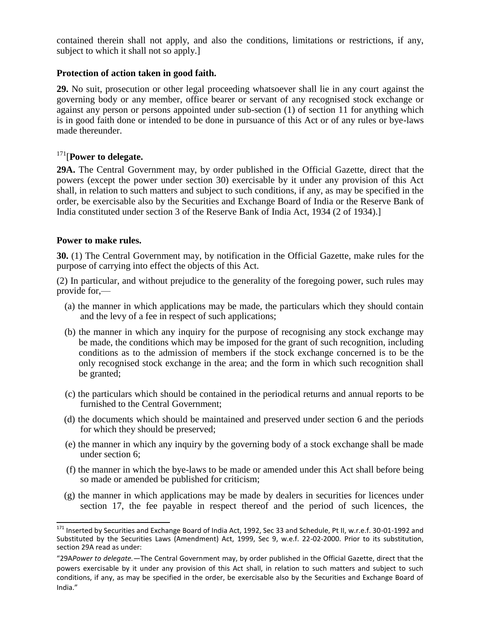contained therein shall not apply, and also the conditions, limitations or restrictions, if any, subject to which it shall not so apply.]

## **Protection of action taken in good faith.**

**29.** No suit, prosecution or other legal proceeding whatsoever shall lie in any court against the governing body or any member, office bearer or servant of any recognised stock exchange or against any person or persons appointed under sub-section (1) of section 11 for anything which is in good faith done or intended to be done in pursuance of this Act or of any rules or bye-laws made thereunder.

## <sup>171</sup>[**Power to delegate.**

**29A.** The Central Government may, by order published in the Official Gazette, direct that the powers (except the power under section 30) exercisable by it under any provision of this Act shall, in relation to such matters and subject to such conditions, if any, as may be specified in the order, be exercisable also by the Securities and Exchange Board of India or the Reserve Bank of India constituted under section 3 of the Reserve Bank of India Act, 1934 (2 of 1934).]

## **Power to make rules.**

**30.** (1) The Central Government may, by notification in the Official Gazette, make rules for the purpose of carrying into effect the objects of this Act.

(2) In particular, and without prejudice to the generality of the foregoing power, such rules may provide for,—

- (a) the manner in which applications may be made, the particulars which they should contain and the levy of a fee in respect of such applications;
- (b) the manner in which any inquiry for the purpose of recognising any stock exchange may be made, the conditions which may be imposed for the grant of such recognition, including conditions as to the admission of members if the stock exchange concerned is to be the only recognised stock exchange in the area; and the form in which such recognition shall be granted;
- (c) the particulars which should be contained in the periodical returns and annual reports to be furnished to the Central Government;
- (d) the documents which should be maintained and preserved under section 6 and the periods for which they should be preserved;
- (e) the manner in which any inquiry by the governing body of a stock exchange shall be made under section 6;
- (f) the manner in which the bye-laws to be made or amended under this Act shall before being so made or amended be published for criticism;
- (g) the manner in which applications may be made by dealers in securities for licences under section 17, the fee payable in respect thereof and the period of such licences, the

 $\overline{a}$  $171$  Inserted by Securities and Exchange Board of India Act, 1992, Sec 33 and Schedule, Pt II, w.r.e.f. 30-01-1992 and Substituted by the Securities Laws (Amendment) Act, 1999, Sec 9, w.e.f. 22-02-2000. Prior to its substitution, section 29A read as under:

<sup>&</sup>quot;29A*Power to delegate.—*The Central Government may, by order published in the Official Gazette, direct that the powers exercisable by it under any provision of this Act shall, in relation to such matters and subject to such conditions, if any, as may be specified in the order, be exercisable also by the Securities and Exchange Board of India."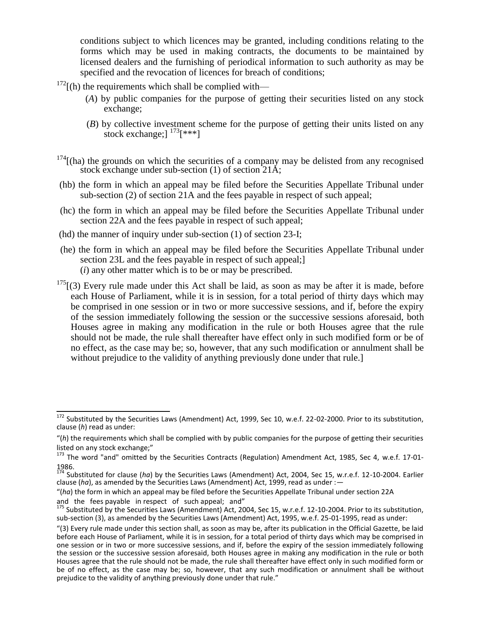conditions subject to which licences may be granted, including conditions relating to the forms which may be used in making contracts, the documents to be maintained by licensed dealers and the furnishing of periodical information to such authority as may be specified and the revocation of licences for breach of conditions;

- $172$ [(h) the requirements which shall be complied with—
	- (*A*) by public companies for the purpose of getting their securities listed on any stock exchange;
	- (*B*) by collective investment scheme for the purpose of getting their units listed on any stock exchange; $]$ <sup>173</sup>[\*\*\*]
- $174$ [(ha) the grounds on which the securities of a company may be delisted from any recognised stock exchange under sub-section (1) of section 21A;
- (hb) the form in which an appeal may be filed before the Securities Appellate Tribunal under sub-section (2) of section 21A and the fees payable in respect of such appeal;
- (hc) the form in which an appeal may be filed before the Securities Appellate Tribunal under section 22A and the fees payable in respect of such appeal;
- (hd) the manner of inquiry under sub-section (1) of section 23-I;
- (he) the form in which an appeal may be filed before the Securities Appellate Tribunal under section 23L and the fees payable in respect of such appeal;] (*i*) any other matter which is to be or may be prescribed.
- $175$ [(3) Every rule made under this Act shall be laid, as soon as may be after it is made, before each House of Parliament, while it is in session, for a total period of thirty days which may be comprised in one session or in two or more successive sessions, and if, before the expiry of the session immediately following the session or the successive sessions aforesaid, both Houses agree in making any modification in the rule or both Houses agree that the rule should not be made, the rule shall thereafter have effect only in such modified form or be of no effect, as the case may be; so, however, that any such modification or annulment shall be without prejudice to the validity of anything previously done under that rule.

 $\frac{1}{2}$ <sup>172</sup> Substituted by the Securities Laws (Amendment) Act, 1999, Sec 10, w.e.f. 22-02-2000. Prior to its substitution, clause (*h*) read as under:

<sup>&</sup>quot;(*h*) the requirements which shall be complied with by public companies for the purpose of getting their securities listed on any stock exchange;"

<sup>&</sup>lt;sup>173</sup> The word "and" omitted by the Securities Contracts (Regulation) Amendment Act, 1985, Sec 4, w.e.f. 17-01-1986.

<sup>174</sup> Substituted for clause (*ha*) by the Securities Laws (Amendment) Act, 2004, Sec 15, w.r.e.f. 12-10-2004. Earlier clause (*ha*), as amended by the Securities Laws (Amendment) Act, 1999, read as under :—

<sup>&</sup>quot;(*ha*) the form in which an appeal may be filed before the Securities Appellate Tribunal under section 22A and the fees payable in respect of such appeal; and"

 $175$  Substituted by the Securities Laws (Amendment) Act, 2004, Sec 15, w.r.e.f. 12-10-2004. Prior to its substitution, sub-section (3), as amended by the Securities Laws (Amendment) Act, 1995, w.e.f. 25-01-1995, read as under:

<sup>&</sup>quot;(3) Every rule made under this section shall, as soon as may be, after its publication in the Official Gazette, be laid before each House of Parliament, while it is in session, for a total period of thirty days which may be comprised in one session or in two or more successive sessions, and if, before the expiry of the session immediately following the session or the successive session aforesaid, both Houses agree in making any modification in the rule or both Houses agree that the rule should not be made, the rule shall thereafter have effect only in such modified form or be of no effect, as the case may be; so, however, that any such modification or annulment shall be without prejudice to the validity of anything previously done under that rule."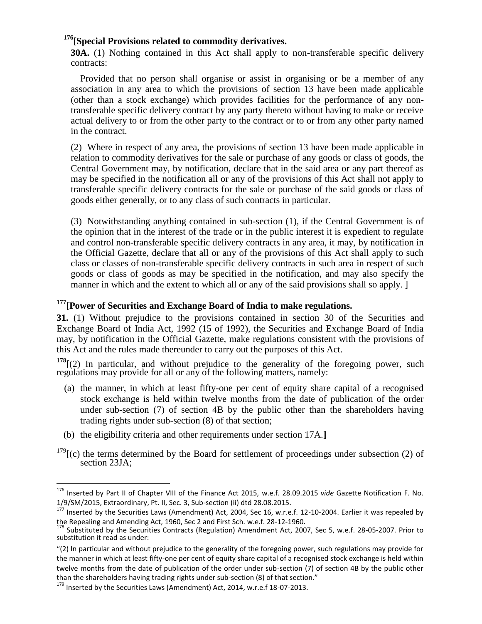# **<sup>176</sup>[Special Provisions related to commodity derivatives.**

**30A.** (1) Nothing contained in this Act shall apply to non-transferable specific delivery contracts:

Provided that no person shall organise or assist in organising or be a member of any association in any area to which the provisions of section 13 have been made applicable (other than a stock exchange) which provides facilities for the performance of any nontransferable specific delivery contract by any party thereto without having to make or receive actual delivery to or from the other party to the contract or to or from any other party named in the contract.

(2) Where in respect of any area, the provisions of section 13 have been made applicable in relation to commodity derivatives for the sale or purchase of any goods or class of goods, the Central Government may, by notification, declare that in the said area or any part thereof as may be specified in the notification all or any of the provisions of this Act shall not apply to transferable specific delivery contracts for the sale or purchase of the said goods or class of goods either generally, or to any class of such contracts in particular.

(3) Notwithstanding anything contained in sub-section (1), if the Central Government is of the opinion that in the interest of the trade or in the public interest it is expedient to regulate and control non-transferable specific delivery contracts in any area, it may, by notification in the Official Gazette, declare that all or any of the provisions of this Act shall apply to such class or classes of non-transferable specific delivery contracts in such area in respect of such goods or class of goods as may be specified in the notification, and may also specify the manner in which and the extent to which all or any of the said provisions shall so apply.  $\vert$ 

## **<sup>177</sup>[Power of Securities and Exchange Board of India to make regulations.**

**31.** (1) Without prejudice to the provisions contained in section 30 of the Securities and Exchange Board of India Act, 1992 (15 of 1992), the Securities and Exchange Board of India may, by notification in the Official Gazette, make regulations consistent with the provisions of this Act and the rules made thereunder to carry out the purposes of this Act.

**<sup>178</sup>[**(2) In particular, and without prejudice to the generality of the foregoing power, such regulations may provide for all or any of the following matters, namely:—

- (a) the manner, in which at least fifty-one per cent of equity share capital of a recognised stock exchange is held within twelve months from the date of publication of the order under sub-section (7) of section 4B by the public other than the shareholders having trading rights under sub-section (8) of that section;
- (b) the eligibility criteria and other requirements under section 17A.**]**
- $179$ [(c) the terms determined by the Board for settlement of proceedings under subsection (2) of section 23JA;

-

<sup>176</sup> Inserted by Part II of Chapter VIII of the Finance Act 2015, w.e.f. 28.09.2015 *vide* Gazette Notification F. No. 1/9/SM/2015, Extraordinary, Pt. II, Sec. 3, Sub-section (ii) dtd 28.08.2015.

 $177$  Inserted by the Securities Laws (Amendment) Act, 2004, Sec 16, w.r.e.f. 12-10-2004. Earlier it was repealed by the Repealing and Amending Act, 1960, Sec 2 and First Sch. w.e.f. 28-12-1960.

<sup>178</sup> Substituted by the Securities Contracts (Regulation) Amendment Act, 2007, Sec 5, w.e.f. 28-05-2007. Prior to substitution it read as under:

<sup>&</sup>quot;(2) In particular and without prejudice to the generality of the foregoing power, such regulations may provide for the manner in which at least fifty-one per cent of equity share capital of a recognised stock exchange is held within twelve months from the date of publication of the order under sub-section (7) of section 4B by the public other than the shareholders having trading rights under sub-section (8) of that section."

<sup>&</sup>lt;sup>179</sup> Inserted by the Securities Laws (Amendment) Act, 2014, w.r.e.f 18-07-2013.